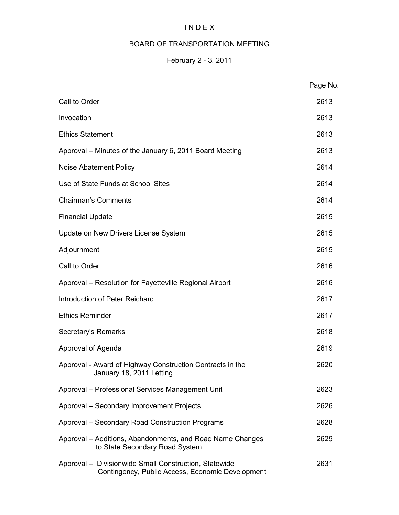## I N D E X

## BOARD OF TRANSPORTATION MEETING

## February 2 - 3, 2011

|                                                                                                           | Page No. |
|-----------------------------------------------------------------------------------------------------------|----------|
| Call to Order                                                                                             | 2613     |
| Invocation                                                                                                | 2613     |
| <b>Ethics Statement</b>                                                                                   | 2613     |
| Approval – Minutes of the January 6, 2011 Board Meeting                                                   | 2613     |
| Noise Abatement Policy                                                                                    | 2614     |
| Use of State Funds at School Sites                                                                        | 2614     |
| <b>Chairman's Comments</b>                                                                                | 2614     |
| <b>Financial Update</b>                                                                                   | 2615     |
| Update on New Drivers License System                                                                      | 2615     |
| Adjournment                                                                                               | 2615     |
| Call to Order                                                                                             | 2616     |
| Approval - Resolution for Fayetteville Regional Airport                                                   | 2616     |
| Introduction of Peter Reichard                                                                            | 2617     |
| <b>Ethics Reminder</b>                                                                                    | 2617     |
| Secretary's Remarks                                                                                       | 2618     |
| Approval of Agenda                                                                                        | 2619     |
| Approval - Award of Highway Construction Contracts in the<br>January 18, 2011 Letting                     | 2620     |
| Approval - Professional Services Management Unit                                                          | 2623     |
| Approval - Secondary Improvement Projects                                                                 | 2626     |
| Approval - Secondary Road Construction Programs                                                           | 2628     |
| Approval – Additions, Abandonments, and Road Name Changes<br>to State Secondary Road System               | 2629     |
| Approval - Divisionwide Small Construction, Statewide<br>Contingency, Public Access, Economic Development | 2631     |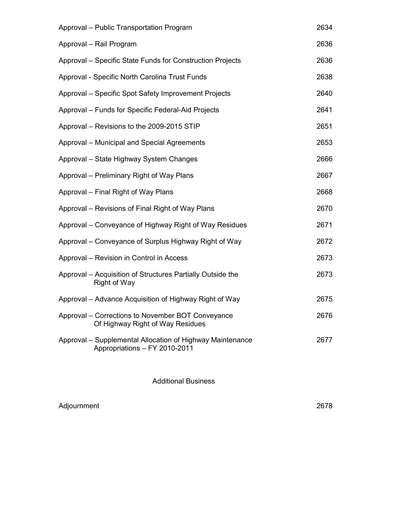| Approval - Public Transportation Program                                                   | 2634 |
|--------------------------------------------------------------------------------------------|------|
| Approval - Rail Program                                                                    | 2636 |
| Approval - Specific State Funds for Construction Projects                                  | 2636 |
| Approval - Specific North Carolina Trust Funds                                             | 2638 |
| Approval – Specific Spot Safety Improvement Projects                                       | 2640 |
| Approval – Funds for Specific Federal-Aid Projects                                         | 2641 |
| Approval – Revisions to the 2009-2015 STIP                                                 | 2651 |
| Approval – Municipal and Special Agreements                                                | 2653 |
| Approval - State Highway System Changes                                                    | 2666 |
| Approval – Preliminary Right of Way Plans                                                  | 2667 |
| Approval – Final Right of Way Plans                                                        | 2668 |
| Approval - Revisions of Final Right of Way Plans                                           | 2670 |
| Approval – Conveyance of Highway Right of Way Residues                                     | 2671 |
| Approval – Conveyance of Surplus Highway Right of Way                                      | 2672 |
| Approval – Revision in Control in Access                                                   | 2673 |
| Approval – Acquisition of Structures Partially Outside the<br>Right of Way                 | 2673 |
| Approval – Advance Acquisition of Highway Right of Way                                     | 2675 |
| Approval – Corrections to November BOT Conveyance<br>Of Highway Right of Way Residues      | 2676 |
| Approval – Supplemental Allocation of Highway Maintenance<br>Appropriations - FY 2010-2011 | 2677 |
|                                                                                            |      |

Additional Business

Adjournment 2678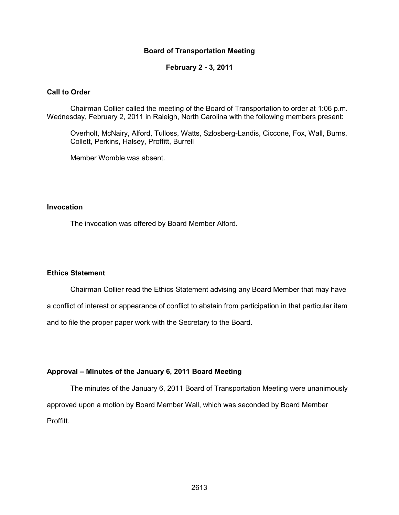#### **Board of Transportation Meeting**

**February 2 - 3, 2011** 

#### **Call to Order**

Chairman Collier called the meeting of the Board of Transportation to order at 1:06 p.m. Wednesday, February 2, 2011 in Raleigh, North Carolina with the following members present:

Overholt, McNairy, Alford, Tulloss, Watts, Szlosberg-Landis, Ciccone, Fox, Wall, Burns, Collett, Perkins, Halsey, Proffitt, Burrell

Member Womble was absent.

#### **Invocation**

The invocation was offered by Board Member Alford.

#### **Ethics Statement**

Chairman Collier read the Ethics Statement advising any Board Member that may have a conflict of interest or appearance of conflict to abstain from participation in that particular item and to file the proper paper work with the Secretary to the Board.

#### **Approval – Minutes of the January 6, 2011 Board Meeting**

The minutes of the January 6, 2011 Board of Transportation Meeting were unanimously approved upon a motion by Board Member Wall, which was seconded by Board Member Proffitt.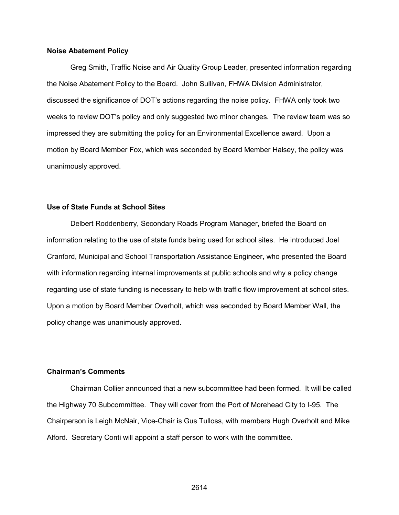#### **Noise Abatement Policy**

 Greg Smith, Traffic Noise and Air Quality Group Leader, presented information regarding the Noise Abatement Policy to the Board. John Sullivan, FHWA Division Administrator, discussed the significance of DOT's actions regarding the noise policy. FHWA only took two weeks to review DOT's policy and only suggested two minor changes. The review team was so impressed they are submitting the policy for an Environmental Excellence award. Upon a motion by Board Member Fox, which was seconded by Board Member Halsey, the policy was unanimously approved.

#### **Use of State Funds at School Sites**

Delbert Roddenberry, Secondary Roads Program Manager, briefed the Board on information relating to the use of state funds being used for school sites. He introduced Joel Cranford, Municipal and School Transportation Assistance Engineer, who presented the Board with information regarding internal improvements at public schools and why a policy change regarding use of state funding is necessary to help with traffic flow improvement at school sites. Upon a motion by Board Member Overholt, which was seconded by Board Member Wall, the policy change was unanimously approved.

#### **Chairman's Comments**

Chairman Collier announced that a new subcommittee had been formed. It will be called the Highway 70 Subcommittee. They will cover from the Port of Morehead City to I-95. The Chairperson is Leigh McNair, Vice-Chair is Gus Tulloss, with members Hugh Overholt and Mike Alford. Secretary Conti will appoint a staff person to work with the committee.

2614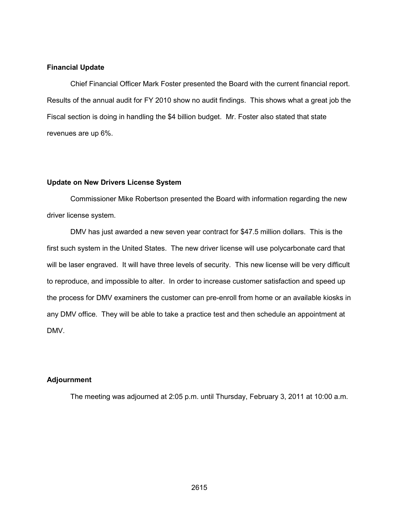#### **Financial Update**

Chief Financial Officer Mark Foster presented the Board with the current financial report. Results of the annual audit for FY 2010 show no audit findings. This shows what a great job the Fiscal section is doing in handling the \$4 billion budget. Mr. Foster also stated that state revenues are up 6%.

#### **Update on New Drivers License System**

Commissioner Mike Robertson presented the Board with information regarding the new driver license system.

DMV has just awarded a new seven year contract for \$47.5 million dollars. This is the first such system in the United States. The new driver license will use polycarbonate card that will be laser engraved. It will have three levels of security. This new license will be very difficult to reproduce, and impossible to alter. In order to increase customer satisfaction and speed up the process for DMV examiners the customer can pre-enroll from home or an available kiosks in any DMV office. They will be able to take a practice test and then schedule an appointment at DMV.

#### **Adjournment**

The meeting was adjourned at 2:05 p.m. until Thursday, February 3, 2011 at 10:00 a.m.

2615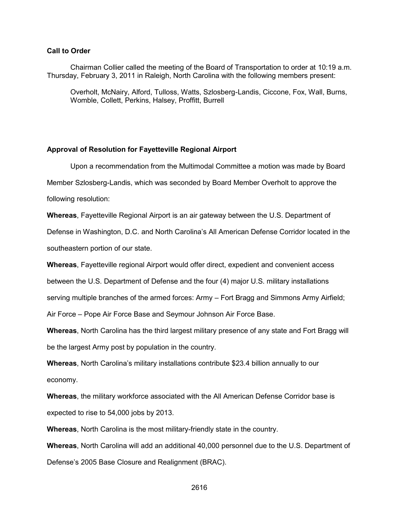#### **Call to Order**

Chairman Collier called the meeting of the Board of Transportation to order at 10:19 a.m. Thursday, February 3, 2011 in Raleigh, North Carolina with the following members present:

Overholt, McNairy, Alford, Tulloss, Watts, Szlosberg-Landis, Ciccone, Fox, Wall, Burns, Womble, Collett, Perkins, Halsey, Proffitt, Burrell

#### **Approval of Resolution for Fayetteville Regional Airport**

Upon a recommendation from the Multimodal Committee a motion was made by Board Member Szlosberg-Landis, which was seconded by Board Member Overholt to approve the

following resolution:

**Whereas**, Fayetteville Regional Airport is an air gateway between the U.S. Department of

Defense in Washington, D.C. and North Carolina's All American Defense Corridor located in the southeastern portion of our state.

**Whereas**, Fayetteville regional Airport would offer direct, expedient and convenient access

between the U.S. Department of Defense and the four (4) major U.S. military installations

serving multiple branches of the armed forces: Army – Fort Bragg and Simmons Army Airfield;

Air Force – Pope Air Force Base and Seymour Johnson Air Force Base.

**Whereas**, North Carolina has the third largest military presence of any state and Fort Bragg will be the largest Army post by population in the country.

**Whereas**, North Carolina's military installations contribute \$23.4 billion annually to our economy.

**Whereas**, the military workforce associated with the All American Defense Corridor base is expected to rise to 54,000 jobs by 2013.

**Whereas**, North Carolina is the most military-friendly state in the country.

**Whereas**, North Carolina will add an additional 40,000 personnel due to the U.S. Department of Defense's 2005 Base Closure and Realignment (BRAC).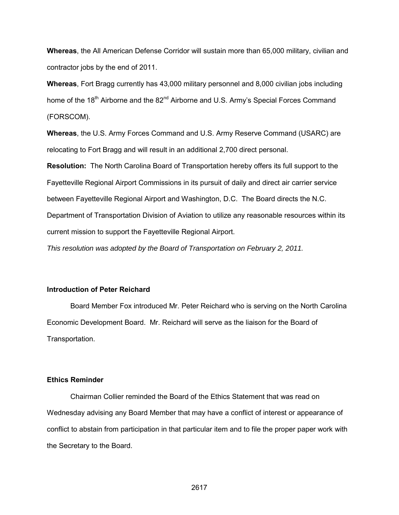**Whereas**, the All American Defense Corridor will sustain more than 65,000 military, civilian and contractor jobs by the end of 2011.

**Whereas**, Fort Bragg currently has 43,000 military personnel and 8,000 civilian jobs including home of the 18<sup>th</sup> Airborne and the 82<sup>nd</sup> Airborne and U.S. Army's Special Forces Command (FORSCOM).

**Whereas**, the U.S. Army Forces Command and U.S. Army Reserve Command (USARC) are relocating to Fort Bragg and will result in an additional 2,700 direct personal.

**Resolution:** The North Carolina Board of Transportation hereby offers its full support to the Fayetteville Regional Airport Commissions in its pursuit of daily and direct air carrier service between Fayetteville Regional Airport and Washington, D.C. The Board directs the N.C. Department of Transportation Division of Aviation to utilize any reasonable resources within its current mission to support the Fayetteville Regional Airport.

*This resolution was adopted by the Board of Transportation on February 2, 2011.* 

### **Introduction of Peter Reichard**

Board Member Fox introduced Mr. Peter Reichard who is serving on the North Carolina Economic Development Board. Mr. Reichard will serve as the liaison for the Board of Transportation.

#### **Ethics Reminder**

Chairman Collier reminded the Board of the Ethics Statement that was read on Wednesday advising any Board Member that may have a conflict of interest or appearance of conflict to abstain from participation in that particular item and to file the proper paper work with the Secretary to the Board.

2617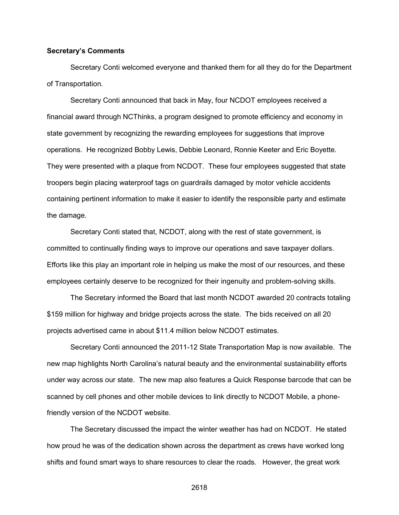#### **Secretary's Comments**

 Secretary Conti welcomed everyone and thanked them for all they do for the Department of Transportation.

Secretary Conti announced that back in May, four NCDOT employees received a financial award through NCThinks, a program designed to promote efficiency and economy in state government by recognizing the rewarding employees for suggestions that improve operations. He recognized Bobby Lewis, Debbie Leonard, Ronnie Keeter and Eric Boyette. They were presented with a plaque from NCDOT. These four employees suggested that state troopers begin placing waterproof tags on guardrails damaged by motor vehicle accidents containing pertinent information to make it easier to identify the responsible party and estimate the damage.

Secretary Conti stated that, NCDOT, along with the rest of state government, is committed to continually finding ways to improve our operations and save taxpayer dollars. Efforts like this play an important role in helping us make the most of our resources, and these employees certainly deserve to be recognized for their ingenuity and problem-solving skills.

The Secretary informed the Board that last month NCDOT awarded 20 contracts totaling \$159 million for highway and bridge projects across the state. The bids received on all 20 projects advertised came in about \$11.4 million below NCDOT estimates.

Secretary Conti announced the 2011-12 State Transportation Map is now available. The new map highlights North Carolina's natural beauty and the environmental sustainability efforts under way across our state. The new map also features a Quick Response barcode that can be scanned by cell phones and other mobile devices to link directly to NCDOT Mobile, a phonefriendly version of the NCDOT website.

The Secretary discussed the impact the winter weather has had on NCDOT. He stated how proud he was of the dedication shown across the department as crews have worked long shifts and found smart ways to share resources to clear the roads. However, the great work

2618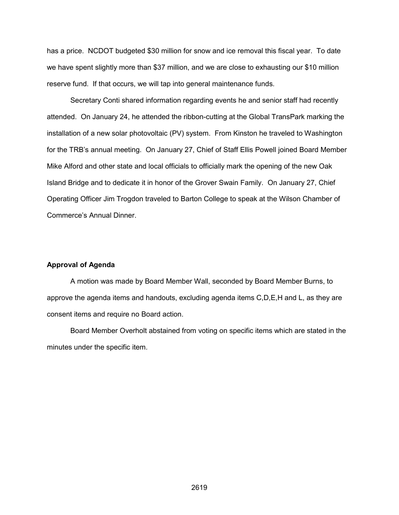has a price. NCDOT budgeted \$30 million for snow and ice removal this fiscal year. To date we have spent slightly more than \$37 million, and we are close to exhausting our \$10 million reserve fund. If that occurs, we will tap into general maintenance funds.

Secretary Conti shared information regarding events he and senior staff had recently attended. On January 24, he attended the ribbon-cutting at the Global TransPark marking the installation of a new solar photovoltaic (PV) system. From Kinston he traveled to Washington for the TRB's annual meeting. On January 27, Chief of Staff Ellis Powell joined Board Member Mike Alford and other state and local officials to officially mark the opening of the new Oak Island Bridge and to dedicate it in honor of the Grover Swain Family. On January 27, Chief Operating Officer Jim Trogdon traveled to Barton College to speak at the Wilson Chamber of Commerce's Annual Dinner.

#### **Approval of Agenda**

A motion was made by Board Member Wall, seconded by Board Member Burns, to approve the agenda items and handouts, excluding agenda items C,D,E,H and L, as they are consent items and require no Board action.

Board Member Overholt abstained from voting on specific items which are stated in the minutes under the specific item.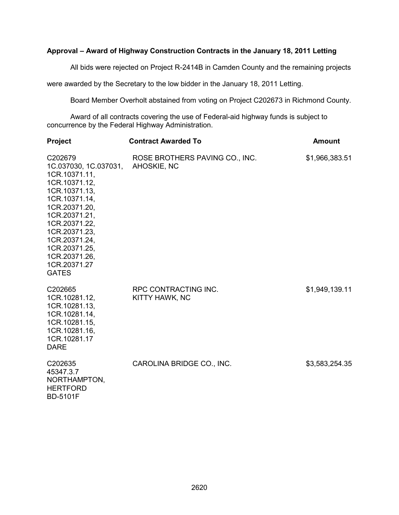#### **Approval – Award of Highway Construction Contracts in the January 18, 2011 Letting**

All bids were rejected on Project R-2414B in Camden County and the remaining projects

were awarded by the Secretary to the low bidder in the January 18, 2011 Letting.

Board Member Overholt abstained from voting on Project C202673 in Richmond County.

Award of all contracts covering the use of Federal-aid highway funds is subject to concurrence by the Federal Highway Administration.

| <b>Project</b>                                                                                                                                                                                                                                              | <b>Contract Awarded To</b>                    | <b>Amount</b>  |  |
|-------------------------------------------------------------------------------------------------------------------------------------------------------------------------------------------------------------------------------------------------------------|-----------------------------------------------|----------------|--|
| C202679<br>1C.037030, 1C.037031,<br>1CR.10371.11,<br>1CR.10371.12,<br>1CR.10371.13,<br>1CR.10371.14,<br>1CR.20371.20,<br>1CR.20371.21,<br>1CR.20371.22,<br>1CR.20371.23,<br>1CR.20371.24,<br>1CR.20371.25,<br>1CR.20371.26,<br>1CR.20371.27<br><b>GATES</b> | ROSE BROTHERS PAVING CO., INC.<br>AHOSKIE, NC | \$1,966,383.51 |  |
| C202665<br>1CR.10281.12,<br>1CR.10281.13,<br>1CR.10281.14,<br>1CR.10281.15,<br>1CR.10281.16,<br>1CR.10281.17<br><b>DARE</b>                                                                                                                                 | RPC CONTRACTING INC.<br>KITTY HAWK, NC        | \$1,949,139.11 |  |
| C202635<br>45347.3.7<br>NORTHAMPTON,<br><b>HERTFORD</b><br><b>BD-5101F</b>                                                                                                                                                                                  | CAROLINA BRIDGE CO., INC.                     | \$3,583,254.35 |  |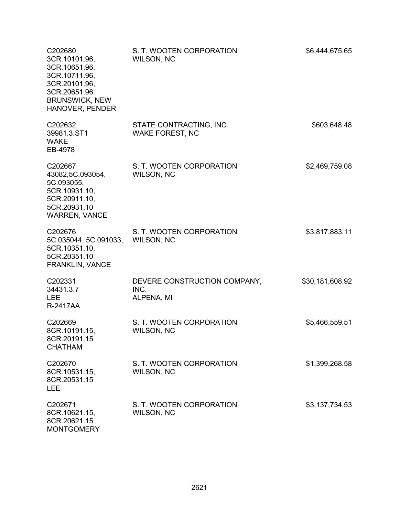| C202680<br>3CR.10101.96,<br>3CR.10651.96,<br>3CR.10711.96,<br>3CR.20101.96,<br>3CR.20651.96<br><b>BRUNSWICK, NEW</b><br>HANOVER, PENDER | S. T. WOOTEN CORPORATION<br><b>WILSON, NC</b>      | \$6,444,675.65  |
|-----------------------------------------------------------------------------------------------------------------------------------------|----------------------------------------------------|-----------------|
| C202632<br>39981.3.ST1<br><b>WAKE</b><br>EB-4978                                                                                        | STATE CONTRACTING, INC.<br><b>WAKE FOREST, NC</b>  | \$603,648.48    |
| C202667<br>43082,5C.093054,<br>5C.093055,<br>5CR.10931.10,<br>5CR.20911.10,<br>5CR.20931.10<br><b>WARREN, VANCE</b>                     | S. T. WOOTEN CORPORATION<br><b>WILSON, NC</b>      | \$2,469,759.08  |
| C202676<br>5C.035044, 5C.091033,<br>5CR.10351.10,<br>5CR.20351.10<br>FRANKLIN, VANCE                                                    | S. T. WOOTEN CORPORATION<br><b>WILSON, NC</b>      | \$3,817,883.11  |
| C202331<br>34431.3.7<br><b>LEE</b><br>R-2417AA                                                                                          | DEVERE CONSTRUCTION COMPANY,<br>INC.<br>ALPENA, MI | \$30,181,608.92 |
| C202669<br>8CR.10191.15,<br>8CR.20191.15<br><b>CHATHAM</b>                                                                              | S. T. WOOTEN CORPORATION<br><b>WILSON, NC</b>      | \$5,466,559.51  |
| C202670<br>8CR.10531.15,<br>8CR.20531.15<br><b>LEE</b>                                                                                  | S. T. WOOTEN CORPORATION<br><b>WILSON, NC</b>      | \$1,399,268.58  |
| C202671<br>8CR.10621.15,<br>8CR.20621.15<br><b>MONTGOMERY</b>                                                                           | S. T. WOOTEN CORPORATION<br><b>WILSON, NC</b>      | \$3,137,734.53  |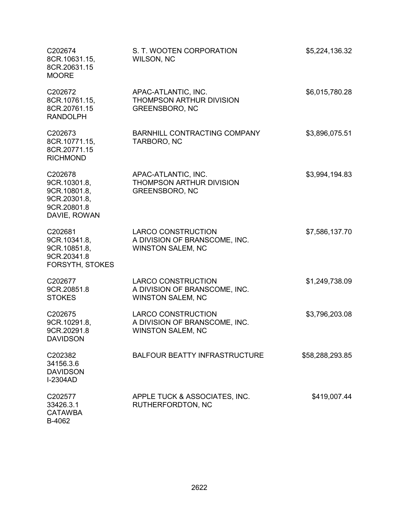| C202674<br>8CR.10631.15,<br>8CR.20631.15<br><b>MOORE</b>                               | S. T. WOOTEN CORPORATION<br>WILSON, NC                                                 | \$5,224,136.32  |
|----------------------------------------------------------------------------------------|----------------------------------------------------------------------------------------|-----------------|
| C202672<br>8CR.10761.15,<br>8CR.20761.15<br><b>RANDOLPH</b>                            | APAC-ATLANTIC, INC.<br>THOMPSON ARTHUR DIVISION<br><b>GREENSBORO, NC</b>               | \$6,015,780.28  |
| C202673<br>8CR.10771.15,<br>8CR.20771.15<br><b>RICHMOND</b>                            | BARNHILL CONTRACTING COMPANY<br>TARBORO, NC                                            | \$3,896,075.51  |
| C202678<br>9CR.10301.8,<br>9CR.10801.8,<br>9CR.20301.8,<br>9CR.20801.8<br>DAVIE, ROWAN | APAC-ATLANTIC, INC.<br>THOMPSON ARTHUR DIVISION<br><b>GREENSBORO, NC</b>               | \$3,994,194.83  |
| C202681<br>9CR.10341.8,<br>9CR.10851.8,<br>9CR.20341.8<br><b>FORSYTH, STOKES</b>       | <b>LARCO CONSTRUCTION</b><br>A DIVISION OF BRANSCOME, INC.<br><b>WINSTON SALEM, NC</b> | \$7,586,137.70  |
| C202677<br>9CR.20851.8<br><b>STOKES</b>                                                | <b>LARCO CONSTRUCTION</b><br>A DIVISION OF BRANSCOME, INC.<br><b>WINSTON SALEM, NC</b> | \$1,249,738.09  |
| C202675<br>9CR.10291.8,<br>9CR.20291.8<br><b>DAVIDSON</b>                              | <b>LARCO CONSTRUCTION</b><br>A DIVISION OF BRANSCOME, INC.<br><b>WINSTON SALEM, NC</b> | \$3,796,203.08  |
| C202382<br>34156.3.6<br><b>DAVIDSON</b><br><b>I-2304AD</b>                             | <b>BALFOUR BEATTY INFRASTRUCTURE</b>                                                   | \$58,288,293.85 |
| C202577<br>33426.3.1<br><b>CATAWBA</b>                                                 | APPLE TUCK & ASSOCIATES, INC.<br>RUTHERFORDTON, NC                                     | \$419,007.44    |

B-4062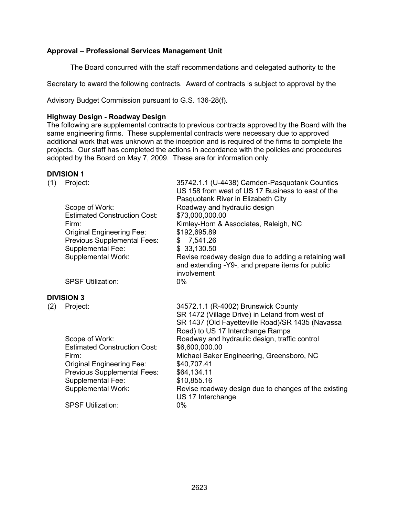## **Approval – Professional Services Management Unit**

The Board concurred with the staff recommendations and delegated authority to the

Secretary to award the following contracts. Award of contracts is subject to approval by the

Advisory Budget Commission pursuant to G.S. 136-28(f).

#### **Highway Design - Roadway Design**

The following are supplemental contracts to previous contracts approved by the Board with the same engineering firms. These supplemental contracts were necessary due to approved additional work that was unknown at the inception and is required of the firms to complete the projects. Our staff has completed the actions in accordance with the policies and procedures adopted by the Board on May 7, 2009. These are for information only.

#### **DIVISION 1**

(1) Project: 35742.1.1 (U-4438) Camden-Pasquotank Counties US 158 from west of US 17 Business to east of the Pasquotank River in Elizabeth City Scope of Work: Roadway and hydraulic design Estimated Construction Cost: \$73,000,000.00 Firm: **Kimley-Horn & Associates, Raleigh, NC** Original Engineering Fee: Previous Supplemental Fees: Supplemental Fee: Supplemental Work: \$192,695.89 \$ 7,541.26 \$ 33,130.50 Revise roadway design due to adding a retaining wall and extending -Y9-, and prepare items for public involvement<br>0% SPSF Utilization: **DIVISION 3** (2) Project: 34572.1.1 (R-4002) Brunswick County SR 1472 (Village Drive) in Leland from west of SR 1437 (Old Fayetteville Road)/SR 1435 (Navassa Road) to US 17 Interchange Ramps Scope of Work:<br>
Estimated Construction Cost: \$6,600,000.00<br>
So.600,000.00 Estimated Construction Cost: Firm: Michael Baker Engineering, Greensboro, NC Original Engineering Fee: Previous Supplemental Fees: Supplemental Fee: Supplemental Work: \$40,707.41 \$64,134.11 \$10,855.16 Revise roadway design due to changes of the existing US 17 Interchange SPSF Utilization: 0%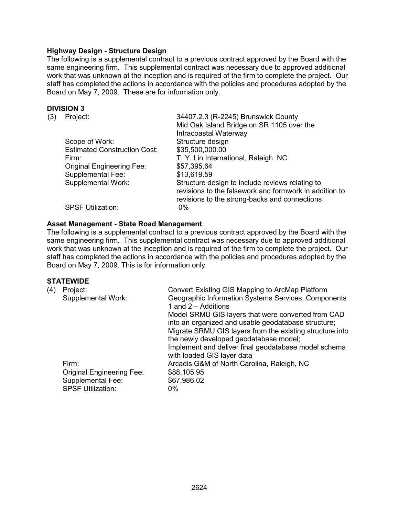#### **Highway Design - Structure Design**

The following is a supplemental contract to a previous contract approved by the Board with the same engineering firm. This supplemental contract was necessary due to approved additional work that was unknown at the inception and is required of the firm to complete the project. Our staff has completed the actions in accordance with the policies and procedures adopted by the Board on May 7, 2009. These are for information only.

#### **DIVISION 3**

| (3) | Project:                            | 34407.2.3 (R-2245) Brunswick County                                                                                                                        |
|-----|-------------------------------------|------------------------------------------------------------------------------------------------------------------------------------------------------------|
|     |                                     | Mid Oak Island Bridge on SR 1105 over the                                                                                                                  |
|     |                                     | Intracoastal Waterway                                                                                                                                      |
|     | Scope of Work:                      | Structure design                                                                                                                                           |
|     | <b>Estimated Construction Cost:</b> | \$35,500,000.00                                                                                                                                            |
|     | Firm:                               | T. Y. Lin International, Raleigh, NC                                                                                                                       |
|     | <b>Original Engineering Fee:</b>    | \$57,395.64                                                                                                                                                |
|     | <b>Supplemental Fee:</b>            | \$13,619.59                                                                                                                                                |
|     | <b>Supplemental Work:</b>           | Structure design to include reviews relating to<br>revisions to the falsework and formwork in addition to<br>revisions to the strong-backs and connections |
|     | <b>SPSF Utilization:</b>            | $0\%$                                                                                                                                                      |
|     |                                     |                                                                                                                                                            |

#### **Asset Management - State Road Management**

The following is a supplemental contract to a previous contract approved by the Board with the same engineering firm. This supplemental contract was necessary due to approved additional work that was unknown at the inception and is required of the firm to complete the project. Our staff has completed the actions in accordance with the policies and procedures adopted by the Board on May 7, 2009. This is for information only.

#### **STATEWIDE**

| (4) | Project:<br>Supplemental Work:<br>Firm:<br><b>Original Engineering Fee:</b><br>Supplemental Fee: | Convert Existing GIS Mapping to ArcMap Platform<br>Geographic Information Systems Services, Components<br>1 and 2 - Additions<br>Model SRMU GIS layers that were converted from CAD<br>into an organized and usable geodatabase structure;<br>Migrate SRMU GIS layers from the existing structure into<br>the newly developed geodatabase model;<br>Implement and deliver final geodatabase model schema<br>with loaded GIS layer data<br>Arcadis G&M of North Carolina, Raleigh, NC<br>\$88,105.95<br>\$67,986.02 |
|-----|--------------------------------------------------------------------------------------------------|--------------------------------------------------------------------------------------------------------------------------------------------------------------------------------------------------------------------------------------------------------------------------------------------------------------------------------------------------------------------------------------------------------------------------------------------------------------------------------------------------------------------|
|     | <b>SPSF Utilization:</b>                                                                         | 0%                                                                                                                                                                                                                                                                                                                                                                                                                                                                                                                 |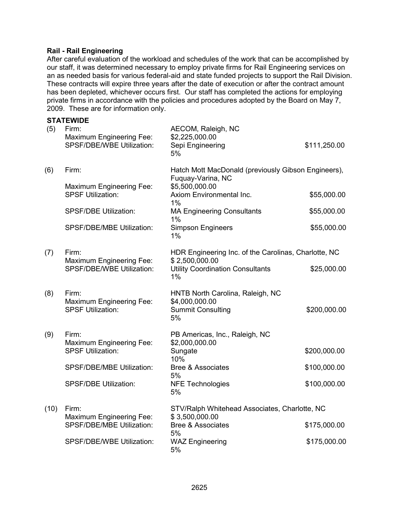#### **Rail - Rail Engineering**

After careful evaluation of the workload and schedules of the work that can be accomplished by our staff, it was determined necessary to employ private firms for Rail Engineering services on an as needed basis for various federal-aid and state funded projects to support the Rail Division. These contracts will expire three years after the date of execution or after the contract amount has been depleted, whichever occurs first. Our staff has completed the actions for employing private firms in accordance with the policies and procedures adopted by the Board on May 7, 2009. These are for information only.

|      | <b>STATEWIDE</b>                                                             |                                                                                      |              |
|------|------------------------------------------------------------------------------|--------------------------------------------------------------------------------------|--------------|
| (5)  | Firm:<br><b>Maximum Engineering Fee:</b><br><b>SPSF/DBE/WBE Utilization:</b> | AECOM, Raleigh, NC<br>\$2,225,000.00<br>Sepi Engineering<br>5%                       | \$111,250.00 |
| (6)  | Firm:                                                                        | Hatch Mott MacDonald (previously Gibson Engineers),<br>Fuquay-Varina, NC             |              |
|      | Maximum Engineering Fee:<br><b>SPSF Utilization:</b>                         | \$5,500,000.00<br>Axiom Environmental Inc.<br>1%                                     | \$55,000.00  |
|      | <b>SPSF/DBE Utilization:</b>                                                 | <b>MA Engineering Consultants</b><br>1%                                              | \$55,000.00  |
|      | SPSF/DBE/MBE Utilization:                                                    | <b>Simpson Engineers</b><br>1%                                                       | \$55,000.00  |
| (7)  | Firm:                                                                        | HDR Engineering Inc. of the Carolinas, Charlotte, NC                                 |              |
|      | <b>Maximum Engineering Fee:</b><br><b>SPSF/DBE/WBE Utilization:</b>          | \$2,500,000.00<br><b>Utility Coordination Consultants</b><br>1%                      | \$25,000.00  |
| (8)  | Firm:<br>Maximum Engineering Fee:<br><b>SPSF Utilization:</b>                | HNTB North Carolina, Raleigh, NC<br>\$4,000,000.00<br><b>Summit Consulting</b><br>5% | \$200,000.00 |
| (9)  | Firm:                                                                        | PB Americas, Inc., Raleigh, NC                                                       |              |
|      | <b>Maximum Engineering Fee:</b><br><b>SPSF Utilization:</b>                  | \$2,000,000.00<br>Sungate<br>10%                                                     | \$200,000.00 |
|      | SPSF/DBE/MBE Utilization:                                                    | <b>Bree &amp; Associates</b><br>5%                                                   | \$100,000.00 |
|      | <b>SPSF/DBE Utilization:</b>                                                 | <b>NFE Technologies</b><br>5%                                                        | \$100,000.00 |
| (10) | STV/Ralph Whitehead Associates, Charlotte, NC<br>Firm:                       |                                                                                      |              |
|      | <b>Maximum Engineering Fee:</b><br>SPSF/DBE/MBE Utilization:                 | \$3,500,000.00<br><b>Bree &amp; Associates</b>                                       | \$175,000.00 |
|      | SPSF/DBE/WBE Utilization:                                                    | 5%<br><b>WAZ Engineering</b><br>5%                                                   | \$175,000.00 |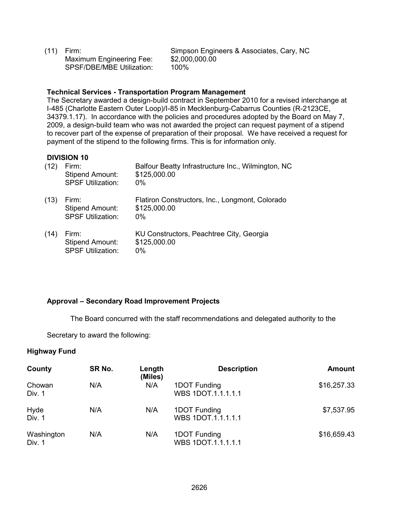(11) Firm: Simpson Engineers & Associates, Cary, NC Maximum Engineering Fee: \$2,000<br>SPSF/DBF/MBF Utilization: 100% SPSF/DBE/MBE Utilization:

#### **Technical Services - Transportation Program Management**

The Secretary awarded a design-build contract in September 2010 for a revised interchange at I-485 (Charlotte Eastern Outer Loop)/I-85 in Mecklenburg-Cabarrus Counties (R-2123CE, 34379.1.17). In accordance with the policies and procedures adopted by the Board on May 7, 2009, a design-build team who was not awarded the project can request payment of a stipend to recover part of the expense of preparation of their proposal. We have received a request for payment of the stipend to the following firms. This is for information only.

#### **DIVISION 10**

| (12) | Firm:<br><b>Stipend Amount:</b><br><b>SPSF Utilization:</b> | Balfour Beatty Infrastructure Inc., Wilmington, NC<br>\$125,000.00<br>$0\%$ |
|------|-------------------------------------------------------------|-----------------------------------------------------------------------------|
| (13) | Firm:<br><b>Stipend Amount:</b><br><b>SPSF Utilization:</b> | Flatiron Constructors, Inc., Longmont, Colorado<br>\$125,000.00<br>0%       |
| (14) | Firm:<br><b>Stipend Amount:</b><br><b>SPSF Utilization:</b> | KU Constructors, Peachtree City, Georgia<br>\$125,000.00<br>$0\%$           |

#### **Approval – Secondary Road Improvement Projects**

The Board concurred with the staff recommendations and delegated authority to the

Secretary to award the following:

#### **Highway Fund**

| County               | SR No. | Length<br>(Miles) | <b>Description</b>                 | <b>Amount</b> |
|----------------------|--------|-------------------|------------------------------------|---------------|
| Chowan<br>Div. 1     | N/A    | N/A               | 1DOT Funding<br>WBS 1DOT.1.1.1.1.1 | \$16,257.33   |
| Hyde<br>Div. 1       | N/A    | N/A               | 1DOT Funding<br>WBS 1DOT.1.1.1.1.1 | \$7,537.95    |
| Washington<br>Div. 1 | N/A    | N/A               | 1DOT Funding<br>WBS 1DOT.1.1.1.1.1 | \$16,659.43   |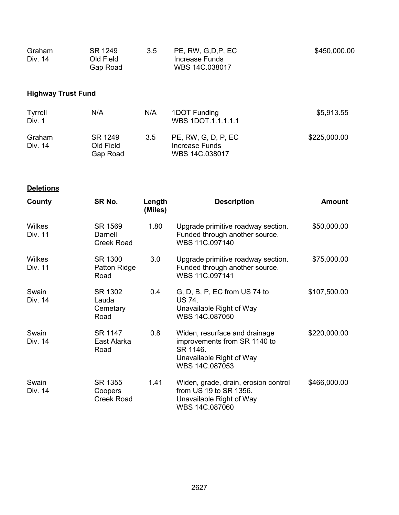| Graham  | SR 1249   | 3.5 | PE, RW, G,D,P, EC | \$450,000.00 |
|---------|-----------|-----|-------------------|--------------|
| Div. 14 | Old Field |     | Increase Funds    |              |
|         | Gap Road  |     | WBS 14C.038017    |              |

## **Highway Trust Fund**

| Tyrrell<br>Div. 1 | N/A                              | N/A | 1DOT Funding<br>WBS 1DOT.1.1.1.1.1                      | \$5,913.55   |
|-------------------|----------------------------------|-----|---------------------------------------------------------|--------------|
| Graham<br>Div. 14 | SR 1249<br>Old Field<br>Gap Road | 3.5 | PE, RW, G, D, P, EC<br>Increase Funds<br>WBS 14C.038017 | \$225,000.00 |

**Deletions**

| County            | SR No.                                  | Length<br>(Miles) | <b>Description</b>                                                                                                      | <b>Amount</b> |
|-------------------|-----------------------------------------|-------------------|-------------------------------------------------------------------------------------------------------------------------|---------------|
| Wilkes<br>Div. 11 | SR 1569<br>Darnell<br><b>Creek Road</b> | 1.80              | Upgrade primitive roadway section.<br>Funded through another source.<br>WBS 11C.097140                                  | \$50,000.00   |
| Wilkes<br>Div. 11 | SR 1300<br>Patton Ridge<br>Road         | 3.0               | Upgrade primitive roadway section.<br>Funded through another source.<br>WBS 11C.097141                                  | \$75,000.00   |
| Swain<br>Div. 14  | SR 1302<br>Lauda<br>Cemetary<br>Road    | 0.4               | G, D, B, P, EC from US 74 to<br><b>US 74.</b><br>Unavailable Right of Way<br>WBS 14C.087050                             | \$107,500.00  |
| Swain<br>Div. 14  | SR 1147<br>East Alarka<br>Road          | 0.8               | Widen, resurface and drainage<br>improvements from SR 1140 to<br>SR 1146.<br>Unavailable Right of Way<br>WBS 14C.087053 | \$220,000.00  |
| Swain<br>Div. 14  | SR 1355<br>Coopers<br><b>Creek Road</b> | 1.41              | Widen, grade, drain, erosion control<br>from US 19 to SR 1356.<br>Unavailable Right of Way<br>WBS 14C.087060            | \$466,000.00  |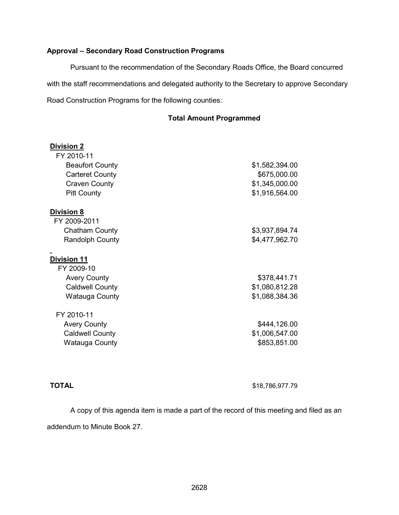## **Approval – Secondary Road Construction Programs**

Pursuant to the recommendation of the Secondary Roads Office, the Board concurred with the staff recommendations and delegated authority to the Secretary to approve Secondary Road Construction Programs for the following counties:

#### **Total Amount Programmed**

| <b>Division 2</b><br>FY 2010-11 |                |
|---------------------------------|----------------|
| <b>Beaufort County</b>          | \$1,582,394.00 |
| <b>Carteret County</b>          | \$675,000.00   |
| <b>Craven County</b>            | \$1,345,000.00 |
| <b>Pitt County</b>              | \$1,916,564.00 |
| <b>Division 8</b>               |                |
| FY 2009-2011                    |                |
| <b>Chatham County</b>           | \$3,937,894.74 |
| <b>Randolph County</b>          | \$4,477,962.70 |
| <b>Division 11</b>              |                |
| FY 2009-10                      |                |
| <b>Avery County</b>             | \$378,441.71   |
| <b>Caldwell County</b>          | \$1,080,812.28 |
| Watauga County                  | \$1,088,384.36 |
| FY 2010-11                      |                |
| <b>Avery County</b>             | \$444,126.00   |
| <b>Caldwell County</b>          | \$1,006,547.00 |
| Watauga County                  | \$853,851.00   |

**TOTAL** \$18,786,977.79

A copy of this agenda item is made a part of the record of this meeting and filed as an addendum to Minute Book 27.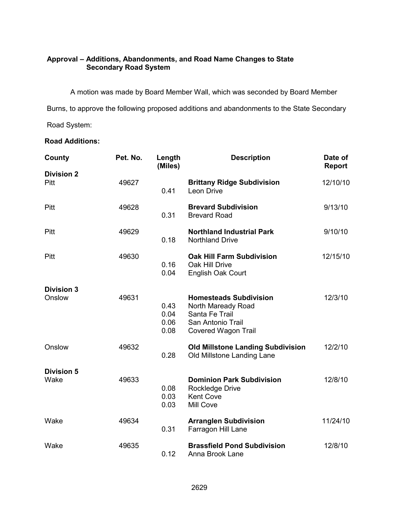## **Approval – Additions, Abandonments, and Road Name Changes to State Secondary Road System**

 A motion was made by Board Member Wall, which was seconded by Board Member Burns, to approve the following proposed additions and abandonments to the State Secondary Road System:

## **Road Additions:**

| County            | Pet. No. | Length<br>(Miles)            | <b>Description</b>                                                                                                       | Date of<br>Report |
|-------------------|----------|------------------------------|--------------------------------------------------------------------------------------------------------------------------|-------------------|
| <b>Division 2</b> |          |                              |                                                                                                                          |                   |
| Pitt              | 49627    | 0.41                         | <b>Brittany Ridge Subdivision</b><br>Leon Drive                                                                          | 12/10/10          |
| Pitt              | 49628    | 0.31                         | <b>Brevard Subdivision</b><br><b>Brevard Road</b>                                                                        | 9/13/10           |
| Pitt              | 49629    | 0.18                         | <b>Northland Industrial Park</b><br><b>Northland Drive</b>                                                               | 9/10/10           |
| Pitt              | 49630    | 0.16<br>0.04                 | <b>Oak Hill Farm Subdivision</b><br>Oak Hill Drive<br>English Oak Court                                                  | 12/15/10          |
| <b>Division 3</b> |          |                              |                                                                                                                          |                   |
| Onslow            | 49631    | 0.43<br>0.04<br>0.06<br>0.08 | <b>Homesteads Subdivision</b><br>North Maready Road<br>Santa Fe Trail<br>San Antonio Trail<br><b>Covered Wagon Trail</b> | 12/3/10           |
| Onslow            | 49632    | 0.28                         | <b>Old Millstone Landing Subdivision</b><br>Old Millstone Landing Lane                                                   | 12/2/10           |
| <b>Division 5</b> |          |                              |                                                                                                                          |                   |
| Wake              | 49633    | 0.08<br>0.03<br>0.03         | <b>Dominion Park Subdivision</b><br>Rockledge Drive<br><b>Kent Cove</b><br>Mill Cove                                     | 12/8/10           |
| Wake              | 49634    | 0.31                         | <b>Arranglen Subdivision</b><br>Farragon Hill Lane                                                                       | 11/24/10          |
| Wake              | 49635    | 0.12                         | <b>Brassfield Pond Subdivision</b><br>Anna Brook Lane                                                                    | 12/8/10           |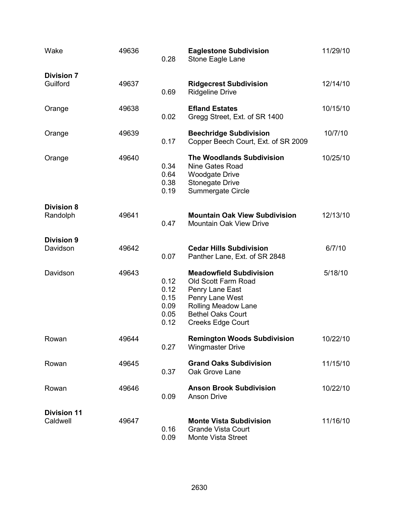| Wake                           | 49636 | 0.28                                         | <b>Eaglestone Subdivision</b><br>Stone Eagle Lane                                                                                                                                 | 11/29/10 |
|--------------------------------|-------|----------------------------------------------|-----------------------------------------------------------------------------------------------------------------------------------------------------------------------------------|----------|
| <b>Division 7</b>              |       |                                              |                                                                                                                                                                                   |          |
| Guilford                       | 49637 | 0.69                                         | <b>Ridgecrest Subdivision</b><br><b>Ridgeline Drive</b>                                                                                                                           | 12/14/10 |
| Orange                         | 49638 | 0.02                                         | <b>Efland Estates</b><br>Gregg Street, Ext. of SR 1400                                                                                                                            | 10/15/10 |
| Orange                         | 49639 | 0.17                                         | <b>Beechridge Subdivision</b><br>Copper Beech Court, Ext. of SR 2009                                                                                                              | 10/7/10  |
| Orange                         | 49640 | 0.34<br>0.64<br>0.38<br>0.19                 | <b>The Woodlands Subdivision</b><br>Nine Gates Road<br><b>Woodgate Drive</b><br><b>Stonegate Drive</b><br>Summergate Circle                                                       | 10/25/10 |
| <b>Division 8</b>              |       |                                              |                                                                                                                                                                                   |          |
| Randolph                       | 49641 | 0.47                                         | <b>Mountain Oak View Subdivision</b><br><b>Mountain Oak View Drive</b>                                                                                                            | 12/13/10 |
| <b>Division 9</b>              |       |                                              |                                                                                                                                                                                   |          |
| Davidson                       | 49642 | 0.07                                         | <b>Cedar Hills Subdivision</b><br>Panther Lane, Ext. of SR 2848                                                                                                                   | 6/7/10   |
| Davidson                       | 49643 | 0.12<br>0.12<br>0.15<br>0.09<br>0.05<br>0.12 | <b>Meadowfield Subdivision</b><br>Old Scott Farm Road<br>Penry Lane East<br>Penry Lane West<br><b>Rolling Meadow Lane</b><br><b>Bethel Oaks Court</b><br><b>Creeks Edge Court</b> | 5/18/10  |
| Rowan                          | 49644 | 0.27                                         | <b>Remington Woods Subdivision</b><br><b>Wingmaster Drive</b>                                                                                                                     | 10/22/10 |
| Rowan                          | 49645 | 0.37                                         | <b>Grand Oaks Subdivision</b><br>Oak Grove Lane                                                                                                                                   | 11/15/10 |
| Rowan                          | 49646 | 0.09                                         | <b>Anson Brook Subdivision</b><br><b>Anson Drive</b>                                                                                                                              | 10/22/10 |
|                                |       |                                              |                                                                                                                                                                                   |          |
| <b>Division 11</b><br>Caldwell | 49647 | 0.16<br>0.09                                 | <b>Monte Vista Subdivision</b><br><b>Grande Vista Court</b><br>Monte Vista Street                                                                                                 | 11/16/10 |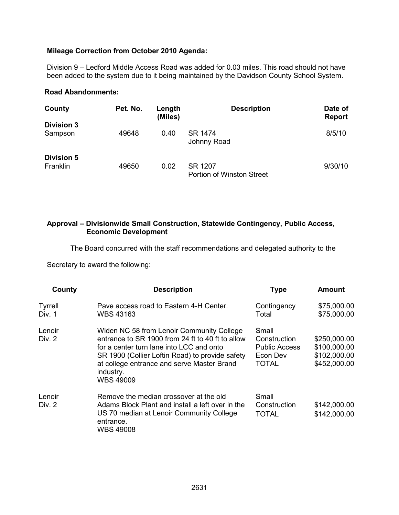#### **Mileage Correction from October 2010 Agenda:**

Division 9 – Ledford Middle Access Road was added for 0.03 miles. This road should not have been added to the system due to it being maintained by the Davidson County School System.

#### **Road Abandonments:**

| County                        | Pet. No. | Length<br>(Miles) | <b>Description</b>                   | Date of<br><b>Report</b> |
|-------------------------------|----------|-------------------|--------------------------------------|--------------------------|
| <b>Division 3</b><br>Sampson  | 49648    | 0.40              | SR 1474<br>Johnny Road               | 8/5/10                   |
| <b>Division 5</b><br>Franklin | 49650    | 0.02              | SR 1207<br>Portion of Winston Street | 9/30/10                  |

#### **Approval – Divisionwide Small Construction, Statewide Contingency, Public Access, Economic Development**

The Board concurred with the staff recommendations and delegated authority to the

Secretary to award the following:

| County                   | <b>Description</b>                                                                                                                                                                                                                                                          | <b>Type</b>                                                               | <b>Amount</b>                                                |
|--------------------------|-----------------------------------------------------------------------------------------------------------------------------------------------------------------------------------------------------------------------------------------------------------------------------|---------------------------------------------------------------------------|--------------------------------------------------------------|
| <b>Tyrrell</b><br>Div. 1 | Pave access road to Eastern 4-H Center.<br><b>WBS 43163</b>                                                                                                                                                                                                                 | Contingency<br>Total                                                      | \$75,000.00<br>\$75,000.00                                   |
| Lenoir<br>Div. 2         | Widen NC 58 from Lenoir Community College<br>entrance to SR 1900 from 24 ft to 40 ft to allow<br>for a center turn lane into LCC and onto<br>SR 1900 (Collier Loftin Road) to provide safety<br>at college entrance and serve Master Brand<br>industry.<br><b>WBS 49009</b> | Small<br>Construction<br><b>Public Access</b><br>Econ Dev<br><b>TOTAL</b> | \$250,000.00<br>\$100,000.00<br>\$102,000.00<br>\$452,000.00 |
| Lenoir<br>Div. 2         | Remove the median crossover at the old<br>Adams Block Plant and install a left over in the<br>US 70 median at Lenoir Community College<br>entrance.<br><b>WBS 49008</b>                                                                                                     | Small<br>Construction<br>TOTAL                                            | \$142,000.00<br>\$142,000.00                                 |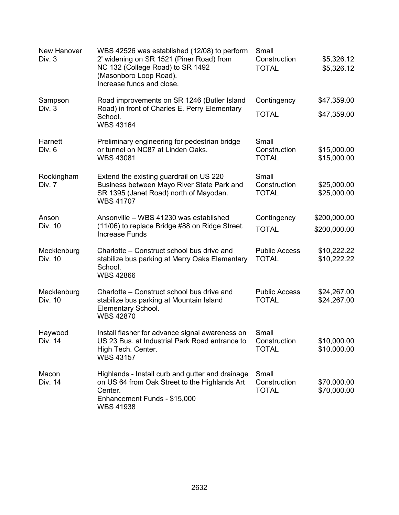| New Hanover<br>Div. 3  | WBS 42526 was established (12/08) to perform<br>2' widening on SR 1521 (Piner Road) from<br>NC 132 (College Road) to SR 1492<br>(Masonboro Loop Road).<br>Increase funds and close. | Small<br>Construction<br><b>TOTAL</b> | \$5,326.12<br>\$5,326.12     |
|------------------------|-------------------------------------------------------------------------------------------------------------------------------------------------------------------------------------|---------------------------------------|------------------------------|
| Sampson<br>Div. 3      | Road improvements on SR 1246 (Butler Island<br>Road) in front of Charles E. Perry Elementary<br>School.<br><b>WBS 43164</b>                                                         | Contingency<br><b>TOTAL</b>           | \$47,359.00<br>\$47,359.00   |
| Harnett<br>Div. 6      | Preliminary engineering for pedestrian bridge<br>or tunnel on NC87 at Linden Oaks.<br><b>WBS 43081</b>                                                                              | Small<br>Construction<br><b>TOTAL</b> | \$15,000.00<br>\$15,000.00   |
| Rockingham<br>Div. 7   | Extend the existing guardrail on US 220<br>Business between Mayo River State Park and<br>SR 1395 (Janet Road) north of Mayodan.<br><b>WBS 41707</b>                                 | Small<br>Construction<br><b>TOTAL</b> | \$25,000.00<br>\$25,000.00   |
| Anson<br>Div. 10       | Ansonville – WBS 41230 was established<br>(11/06) to replace Bridge #88 on Ridge Street.<br><b>Increase Funds</b>                                                                   | Contingency<br><b>TOTAL</b>           | \$200,000.00<br>\$200,000.00 |
| Mecklenburg<br>Div. 10 | Charlotte – Construct school bus drive and<br>stabilize bus parking at Merry Oaks Elementary<br>School.<br><b>WBS 42866</b>                                                         | <b>Public Access</b><br><b>TOTAL</b>  | \$10,222.22<br>\$10,222.22   |
| Mecklenburg<br>Div. 10 | Charlotte – Construct school bus drive and<br>stabilize bus parking at Mountain Island<br>Elementary School.<br><b>WBS 42870</b>                                                    | <b>Public Access</b><br><b>TOTAL</b>  | \$24,267.00<br>\$24,267.00   |
| Haywood<br>Div. 14     | Install flasher for advance signal awareness on<br>US 23 Bus. at Industrial Park Road entrance to<br>High Tech. Center.<br><b>WBS 43157</b>                                         | Small<br>Construction<br><b>TOTAL</b> | \$10,000.00<br>\$10,000.00   |
| Macon<br>Div. 14       | Highlands - Install curb and gutter and drainage<br>on US 64 from Oak Street to the Highlands Art<br>Center.<br>Enhancement Funds - \$15,000<br><b>WBS 41938</b>                    | Small<br>Construction<br><b>TOTAL</b> | \$70,000.00<br>\$70,000.00   |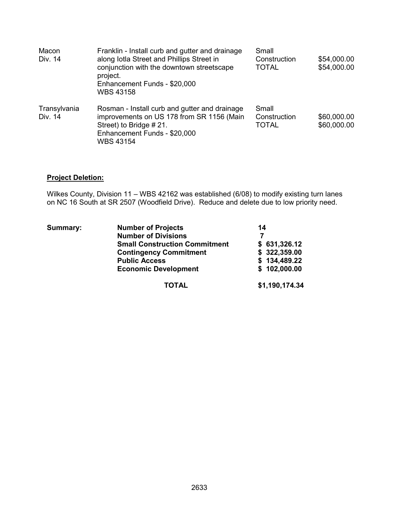| Macon<br>Div. 14        | Franklin - Install curb and gutter and drainage<br>along Iotla Street and Phillips Street in<br>conjunction with the downtown streetscape<br>project.<br>Enhancement Funds - \$20,000<br><b>WBS 43158</b> | Small<br>Construction<br><b>TOTAL</b> | \$54,000.00<br>\$54,000.00 |
|-------------------------|-----------------------------------------------------------------------------------------------------------------------------------------------------------------------------------------------------------|---------------------------------------|----------------------------|
| Transylvania<br>Div. 14 | Rosman - Install curb and gutter and drainage<br>improvements on US 178 from SR 1156 (Main<br>Street) to Bridge #21.<br>Enhancement Funds - \$20,000<br>WBS 43154                                         | Small<br>Construction<br><b>TOTAL</b> | \$60,000.00<br>\$60,000.00 |

## **Project Deletion:**

Wilkes County, Division 11 – WBS 42162 was established (6/08) to modify existing turn lanes on NC 16 South at SR 2507 (Woodfield Drive). Reduce and delete due to low priority need.

| <b>Summary:</b> | <b>Number of Projects</b>            | 14             |
|-----------------|--------------------------------------|----------------|
|                 | <b>Number of Divisions</b>           |                |
|                 | <b>Small Construction Commitment</b> | \$631,326.12   |
|                 | <b>Contingency Commitment</b>        | \$322,359.00   |
|                 | <b>Public Access</b>                 | \$134,489.22   |
|                 | <b>Economic Development</b>          | \$102,000.00   |
|                 | <b>TOTAL</b>                         | \$1,190,174.34 |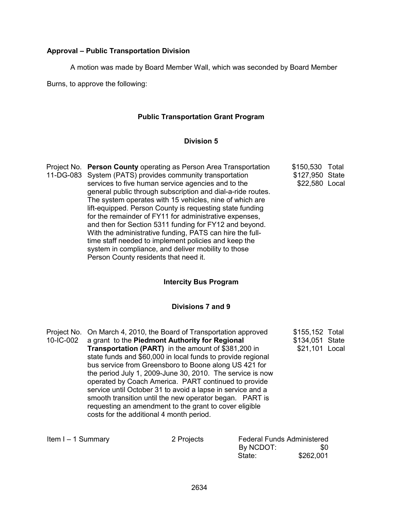#### **Approval – Public Transportation Division**

A motion was made by Board Member Wall, which was seconded by Board Member

Burns, to approve the following:

## **Public Transportation Grant Program**

#### **Division 5**

Project No. **Person County** operating as Person Area Transportation 11-DG-083 System (PATS) provides community transportation services to five human service agencies and to the general public through subscription and dial-a-ride routes. The system operates with 15 vehicles, nine of which are lift-equipped. Person County is requesting state funding for the remainder of FY11 for administrative expenses, and then for Section 5311 funding for FY12 and beyond. With the administrative funding, PATS can hire the fulltime staff needed to implement policies and keep the system in compliance, and deliver mobility to those Person County residents that need it. \$150,530 Total \$127,950 State \$22,580 Local

#### **Intercity Bus Program**

#### **Divisions 7 and 9**

|                      | Project No. On March 4, 2010, the Board of Transportation approved                                                                                                                                                                                                                                                                                                                                                                                                                                                                     |                                   | \$155,152 Total |  |
|----------------------|----------------------------------------------------------------------------------------------------------------------------------------------------------------------------------------------------------------------------------------------------------------------------------------------------------------------------------------------------------------------------------------------------------------------------------------------------------------------------------------------------------------------------------------|-----------------------------------|-----------------|--|
| 10-IC-002            | a grant to the Piedmont Authority for Regional                                                                                                                                                                                                                                                                                                                                                                                                                                                                                         |                                   | \$134,051 State |  |
|                      | <b>Transportation (PART)</b> in the amount of \$381,200 in<br>state funds and \$60,000 in local funds to provide regional<br>bus service from Greensboro to Boone along US 421 for<br>the period July 1, 2009-June 30, 2010. The service is now<br>operated by Coach America. PART continued to provide<br>service until October 31 to avoid a lapse in service and a<br>smooth transition until the new operator began. PART is<br>requesting an amendment to the grant to cover eligible<br>costs for the additional 4 month period. |                                   | \$21,101 Local  |  |
| Item $I - 1$ Summary | 2 Projects                                                                                                                                                                                                                                                                                                                                                                                                                                                                                                                             | <b>Federal Funds Administered</b> |                 |  |

| 2 Projects | <b>Federal Funds Administered</b> |           |
|------------|-----------------------------------|-----------|
|            | By NCDOT:                         | \$0       |
|            | State:                            | \$262,001 |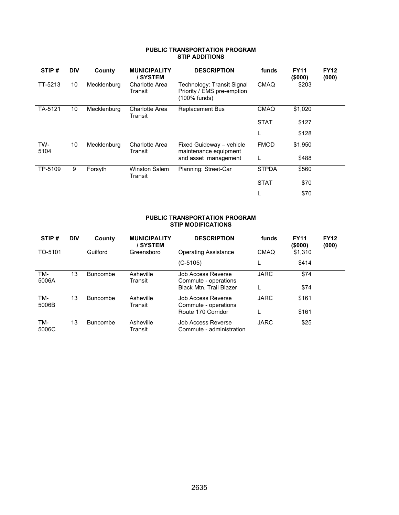#### **PUBLIC TRANSPORTATION PROGRAM STIP ADDITIONS**

| <b>DIV</b>      | County      | <b>MUNICIPALITY</b><br>/SYSTEM | <b>DESCRIPTION</b>                                                       | funds        | <b>FY11</b><br>(\$000) | <b>FY12</b><br>(000) |
|-----------------|-------------|--------------------------------|--------------------------------------------------------------------------|--------------|------------------------|----------------------|
| 10              | Mecklenburg | Charlotte Area<br>Transit      | Technology: Transit Signal<br>Priority / EMS pre-emption<br>(100% funds) | <b>CMAQ</b>  | \$203                  |                      |
| 10              | Mecklenburg | Charlotte Area<br>Transit      | <b>Replacement Bus</b>                                                   | <b>CMAQ</b>  | \$1,020                |                      |
|                 |             |                                |                                                                          | <b>STAT</b>  | \$127                  |                      |
|                 |             |                                |                                                                          | L            | \$128                  |                      |
| 10 <sup>1</sup> | Mecklenburg | Charlotte Area<br>Transit      | Fixed Guideway - vehicle<br>maintenance equipment                        | <b>FMOD</b>  | \$1,950                |                      |
|                 |             |                                | and asset management                                                     | L            | \$488                  |                      |
| 9               | Forsyth     | <b>Winston Salem</b>           | Planning: Street-Car                                                     | <b>STPDA</b> | \$560                  |                      |
|                 |             |                                |                                                                          | <b>STAT</b>  | \$70                   |                      |
|                 |             |                                |                                                                          |              | \$70                   |                      |
|                 |             |                                | Transit                                                                  |              |                        |                      |

#### **PUBLIC TRANSPORTATION PROGRAM STIP MODIFICATIONS**

| STIP#        | <b>DIV</b> | County          | <b>MUNICIPALITY</b><br><b>SYSTEM</b> | <b>DESCRIPTION</b>                                                           | funds       | <b>FY11</b><br>(\$000) | <b>FY12</b><br>(000) |
|--------------|------------|-----------------|--------------------------------------|------------------------------------------------------------------------------|-------------|------------------------|----------------------|
| TO-5101      |            | Guilford        | Greensboro                           | <b>Operating Assistance</b>                                                  | CMAQ        | \$1,310                |                      |
|              |            |                 |                                      | $(C-5105)$                                                                   |             | \$414                  |                      |
| TM-<br>5006A | 13         | <b>Buncombe</b> | Asheville<br>Transit                 | Job Access Reverse<br>Commute - operations<br><b>Black Mtn. Trail Blazer</b> | <b>JARC</b> | \$74<br>\$74           |                      |
| TM-<br>5006B | 13         | <b>Buncombe</b> | Asheville<br>Transit                 | Job Access Reverse<br>Commute - operations<br>Route 170 Corridor             | <b>JARC</b> | \$161<br>\$161         |                      |
| TM-<br>5006C | 13         | <b>Buncombe</b> | Asheville<br>Transit                 | Job Access Reverse<br>Commute - administration                               | <b>JARC</b> | \$25                   |                      |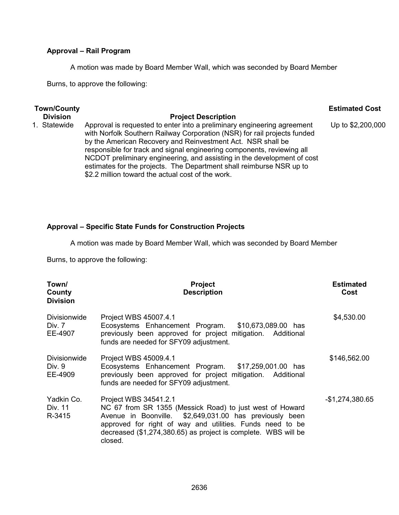### **Approval – Rail Program**

A motion was made by Board Member Wall, which was seconded by Board Member

Burns, to approve the following:

| <b>Town/County</b> |                                                                                                                                                                                                                                                                                                                                                                         | <b>Estimated Cost</b> |
|--------------------|-------------------------------------------------------------------------------------------------------------------------------------------------------------------------------------------------------------------------------------------------------------------------------------------------------------------------------------------------------------------------|-----------------------|
| <b>Division</b>    | <b>Project Description</b>                                                                                                                                                                                                                                                                                                                                              |                       |
| 1. Statewide       | Approval is requested to enter into a preliminary engineering agreement<br>with Norfolk Southern Railway Corporation (NSR) for rail projects funded<br>by the American Recovery and Reinvestment Act. NSR shall be<br>responsible for track and signal engineering components, reviewing all<br>NCDOT preliminary engineering, and assisting in the development of cost | Up to \$2,200,000     |

estimates for the projects. The Department shall reimburse NSR up to

## **Approval – Specific State Funds for Construction Projects**

\$2.2 million toward the actual cost of the work.

A motion was made by Board Member Wall, which was seconded by Board Member

Burns, to approve the following:

| Town/<br>County<br><b>Division</b>       | <b>Project</b><br><b>Description</b>                                                                                                                                                                                                                                                   | <b>Estimated</b><br>Cost |
|------------------------------------------|----------------------------------------------------------------------------------------------------------------------------------------------------------------------------------------------------------------------------------------------------------------------------------------|--------------------------|
| <b>Divisionwide</b><br>Div. 7<br>EE-4907 | Project WBS 45007.4.1<br>Ecosystems Enhancement Program. \$10,673,089.00 has<br>previously been approved for project mitigation. Additional<br>funds are needed for SFY09 adjustment.                                                                                                  | \$4,530.00               |
| <b>Divisionwide</b><br>Div. 9<br>EE-4909 | Project WBS 45009.4.1<br>Ecosystems Enhancement Program. \$17,259,001.00 has<br>previously been approved for project mitigation. Additional<br>funds are needed for SFY09 adjustment.                                                                                                  | \$146,562.00             |
| Yadkin Co.<br>Div. 11<br>R-3415          | Project WBS 34541.2.1<br>NC 67 from SR 1355 (Messick Road) to just west of Howard<br>Avenue in Boonville. \$2,649,031.00 has previously been<br>approved for right of way and utilities. Funds need to be<br>decreased (\$1,274,380.65) as project is complete. WBS will be<br>closed. | $-$1,274,380.65$         |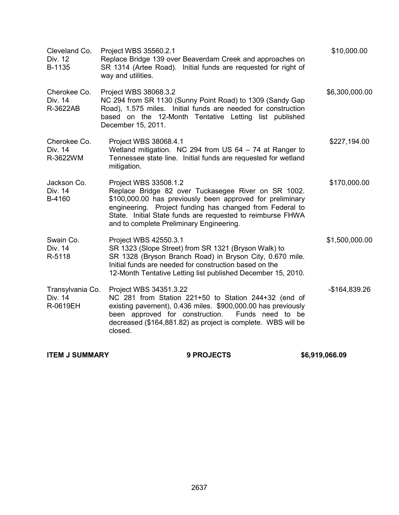| Cleveland Co.<br>Div. 12<br>B-1135      | Project WBS 35560.2.1<br>Replace Bridge 139 over Beaverdam Creek and approaches on<br>SR 1314 (Artee Road). Initial funds are requested for right of<br>way and utilities.                                                                                                                                      | \$10,000.00    |
|-----------------------------------------|-----------------------------------------------------------------------------------------------------------------------------------------------------------------------------------------------------------------------------------------------------------------------------------------------------------------|----------------|
| Cherokee Co.<br>Div. 14<br>R-3622AB     | Project WBS 38068.3.2<br>NC 294 from SR 1130 (Sunny Point Road) to 1309 (Sandy Gap<br>Road), 1.575 miles. Initial funds are needed for construction<br>based on the 12-Month Tentative Letting list published<br>December 15, 2011.                                                                             | \$6,300,000.00 |
| Cherokee Co.<br>Div. 14<br>R-3622WM     | Project WBS 38068.4.1<br>Wetland mitigation. NC 294 from US 64 - 74 at Ranger to<br>Tennessee state line. Initial funds are requested for wetland<br>mitigation.                                                                                                                                                | \$227,194.00   |
| Jackson Co.<br>Div. 14<br>B-4160        | Project WBS 33508.1.2<br>Replace Bridge 82 over Tuckasegee River on SR 1002.<br>\$100,000.00 has previously been approved for preliminary<br>engineering. Project funding has changed from Federal to<br>State. Initial State funds are requested to reimburse FHWA<br>and to complete Preliminary Engineering. | \$170,000.00   |
| Swain Co.<br>Div. 14<br>R-5118          | Project WBS 42550.3.1<br>SR 1323 (Slope Street) from SR 1321 (Bryson Walk) to<br>SR 1328 (Bryson Branch Road) in Bryson City, 0.670 mile.<br>Initial funds are needed for construction based on the<br>12-Month Tentative Letting list published December 15, 2010.                                             | \$1,500,000.00 |
| Transylvania Co.<br>Div. 14<br>R-0619EH | Project WBS 34351.3.22<br>NC 281 from Station 221+50 to Station 244+32 (end of<br>existing pavement), 0.436 miles. \$900,000.00 has previously<br>been approved for construction.<br>Funds need to be<br>decreased (\$164,881.82) as project is complete. WBS will be<br>closed.                                | -\$164,839.26  |

**ITEM J SUMMARY 9 PROJECTS \$6,919,066.09**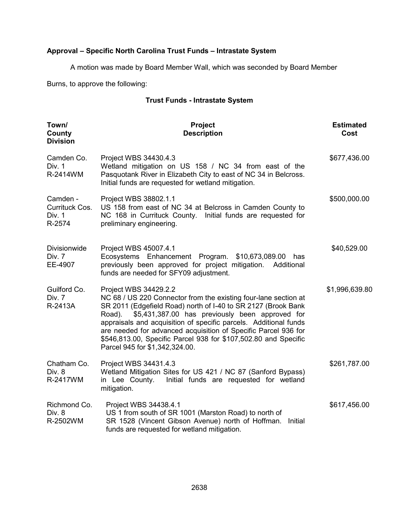## **Approval – Specific North Carolina Trust Funds – Intrastate System**

A motion was made by Board Member Wall, which was seconded by Board Member

Burns, to approve the following:

## **Trust Funds - Intrastate System**

| Town/<br>County<br><b>Division</b>             | Project<br><b>Description</b>                                                                                                                                                                                                                                                                                                                                                                                                                                     | <b>Estimated</b><br>Cost |
|------------------------------------------------|-------------------------------------------------------------------------------------------------------------------------------------------------------------------------------------------------------------------------------------------------------------------------------------------------------------------------------------------------------------------------------------------------------------------------------------------------------------------|--------------------------|
| Camden Co.<br>Div. 1<br>R-2414WM               | Project WBS 34430.4.3<br>Wetland mitigation on US 158 / NC 34 from east of the<br>Pasquotank River in Elizabeth City to east of NC 34 in Belcross.<br>Initial funds are requested for wetland mitigation.                                                                                                                                                                                                                                                         | \$677,436.00             |
| Camden -<br>Currituck Cos.<br>Div. 1<br>R-2574 | Project WBS 38802.1.1<br>US 158 from east of NC 34 at Belcross in Camden County to<br>NC 168 in Currituck County. Initial funds are requested for<br>preliminary engineering.                                                                                                                                                                                                                                                                                     | \$500,000.00             |
| Divisionwide<br>Div. 7<br>EE-4907              | Project WBS 45007.4.1<br>Ecosystems Enhancement Program.<br>\$10,673,089.00<br>has<br>previously been approved for project mitigation. Additional<br>funds are needed for SFY09 adjustment.                                                                                                                                                                                                                                                                       | \$40,529.00              |
| Guilford Co.<br>Div. 7<br>R-2413A              | Project WBS 34429.2.2<br>NC 68 / US 220 Connector from the existing four-lane section at<br>SR 2011 (Edgefield Road) north of I-40 to SR 2127 (Brook Bank<br>\$5,431,387.00 has previously been approved for<br>Road).<br>appraisals and acquisition of specific parcels. Additional funds<br>are needed for advanced acquisition of Specific Parcel 936 for<br>\$546,813.00, Specific Parcel 938 for \$107,502.80 and Specific<br>Parcel 945 for \$1,342,324.00. | \$1,996,639.80           |
| Chatham Co.<br>Div. 8<br>R-2417WM              | Project WBS 34431.4.3<br>Wetland Mitigation Sites for US 421 / NC 87 (Sanford Bypass)<br>Initial funds are requested for wetland<br>in Lee County.<br>mitigation.                                                                                                                                                                                                                                                                                                 | \$261,787.00             |
| Richmond Co.<br>Div. 8<br>R-2502WM             | Project WBS 34438.4.1<br>US 1 from south of SR 1001 (Marston Road) to north of<br>SR 1528 (Vincent Gibson Avenue) north of Hoffman.<br>Initial<br>funds are requested for wetland mitigation.                                                                                                                                                                                                                                                                     | \$617,456.00             |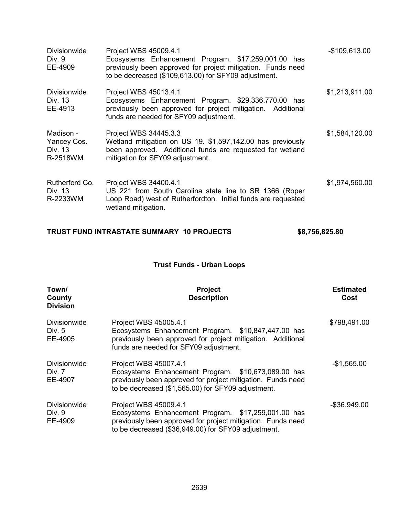| <b>Divisionwide</b><br>Div. 9<br>EE-4909        | Project WBS 45009.4.1<br>Ecosystems Enhancement Program. \$17,259,001.00 has<br>previously been approved for project mitigation. Funds need<br>to be decreased (\$109,613.00) for SFY09 adjustment. | $-$109,613.00$ |
|-------------------------------------------------|-----------------------------------------------------------------------------------------------------------------------------------------------------------------------------------------------------|----------------|
| Divisionwide<br>Div. 13<br>EE-4913              | Project WBS 45013.4.1<br>Ecosystems Enhancement Program. \$29,336,770.00 has<br>previously been approved for project mitigation. Additional<br>funds are needed for SFY09 adjustment.               | \$1,213,911.00 |
| Madison -<br>Yancey Cos.<br>Div. 13<br>R-2518WM | Project WBS 34445.3.3<br>Wetland mitigation on US 19. \$1,597,142.00 has previously<br>been approved. Additional funds are requested for wetland<br>mitigation for SFY09 adjustment.                | \$1,584,120.00 |
| Rutherford Co.<br>Div. 13<br>R-2233WM           | Project WBS 34400.4.1<br>US 221 from South Carolina state line to SR 1366 (Roper<br>Loop Road) west of Rutherfordton. Initial funds are requested<br>wetland mitigation.                            | \$1,974,560.00 |

## **TRUST FUND INTRASTATE SUMMARY 10 PROJECTS \$8,756,825.80**

## **Trust Funds - Urban Loops**

| Town/<br>County<br><b>Division</b>         | <b>Project</b><br><b>Description</b>                                                                                                                                                               | <b>Estimated</b><br>Cost |
|--------------------------------------------|----------------------------------------------------------------------------------------------------------------------------------------------------------------------------------------------------|--------------------------|
| <b>Divisionwide</b><br>Div. $5$<br>EE-4905 | Project WBS 45005.4.1<br>Ecosystems Enhancement Program. \$10,847,447.00 has<br>previously been approved for project mitigation. Additional<br>funds are needed for SFY09 adjustment.              | \$798,491.00             |
| Divisionwide<br>Div. 7<br>EE-4907          | Project WBS 45007.4.1<br>Ecosystems Enhancement Program. \$10,673,089.00 has<br>previously been approved for project mitigation. Funds need<br>to be decreased (\$1,565.00) for SFY09 adjustment.  | $-$1,565.00$             |
| <b>Divisionwide</b><br>Div. 9<br>EE-4909   | Project WBS 45009.4.1<br>Ecosystems Enhancement Program. \$17,259,001.00 has<br>previously been approved for project mitigation. Funds need<br>to be decreased (\$36,949.00) for SFY09 adjustment. | $-$ \$36,949.00          |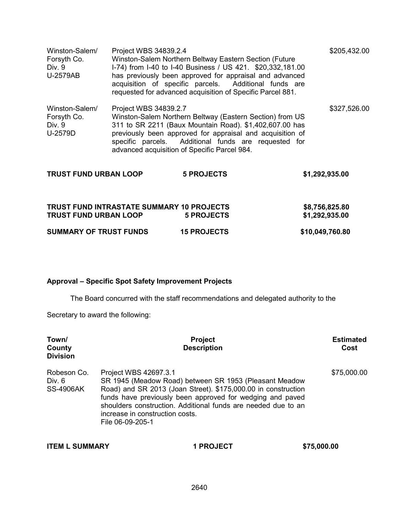| Winston-Salem/<br>Forsyth Co.<br>Div. 9<br>U-2579AB | Project WBS 34839.2.4                            | Winston-Salem Northern Beltway Eastern Section (Future<br>I-74) from I-40 to I-40 Business / US 421. \$20,332,181.00<br>has previously been approved for appraisal and advanced<br>acquisition of specific parcels. Additional funds are<br>requested for advanced acquisition of Specific Parcel 881. |                                  | \$205,432.00 |
|-----------------------------------------------------|--------------------------------------------------|--------------------------------------------------------------------------------------------------------------------------------------------------------------------------------------------------------------------------------------------------------------------------------------------------------|----------------------------------|--------------|
| Winston-Salem/<br>Forsyth Co.<br>Div. 9<br>U-2579D  | Project WBS 34839.2.7                            | Winston-Salem Northern Beltway (Eastern Section) from US<br>311 to SR 2211 (Baux Mountain Road). \$1,402,607.00 has<br>previously been approved for appraisal and acquisition of<br>specific parcels. Additional funds are requested for<br>advanced acquisition of Specific Parcel 984.               |                                  | \$327,526.00 |
| <b>TRUST FUND URBAN LOOP</b>                        |                                                  | <b>5 PROJECTS</b>                                                                                                                                                                                                                                                                                      | \$1,292,935.00                   |              |
| <b>TRUST FUND URBAN LOOP</b>                        | <b>TRUST FUND INTRASTATE SUMMARY 10 PROJECTS</b> | <b>5 PROJECTS</b>                                                                                                                                                                                                                                                                                      | \$8,756,825.80<br>\$1,292,935.00 |              |
| <b>SUMMARY OF TRUST FUNDS</b>                       |                                                  | <b>15 PROJECTS</b>                                                                                                                                                                                                                                                                                     | \$10,049,760.80                  |              |

## **Approval – Specific Spot Safety Improvement Projects**

The Board concurred with the staff recommendations and delegated authority to the

Secretary to award the following:

| Town/<br>County<br><b>Division</b>        | <b>Project</b><br><b>Description</b>                                                                                                                                                                                                                                                                                                  | <b>Estimated</b><br>Cost |
|-------------------------------------------|---------------------------------------------------------------------------------------------------------------------------------------------------------------------------------------------------------------------------------------------------------------------------------------------------------------------------------------|--------------------------|
| Robeson Co.<br>Div. 6<br><b>SS-4906AK</b> | Project WBS 42697.3.1<br>SR 1945 (Meadow Road) between SR 1953 (Pleasant Meadow<br>Road) and SR 2013 (Joan Street). \$175,000.00 in construction<br>funds have previously been approved for wedging and paved<br>shoulders construction. Additional funds are needed due to an<br>increase in construction costs.<br>File 06-09-205-1 | \$75,000.00              |

| <b>ITEM L SUMMARY</b> | <b>1 PROJECT</b> | \$75,000.00 |
|-----------------------|------------------|-------------|
|                       |                  |             |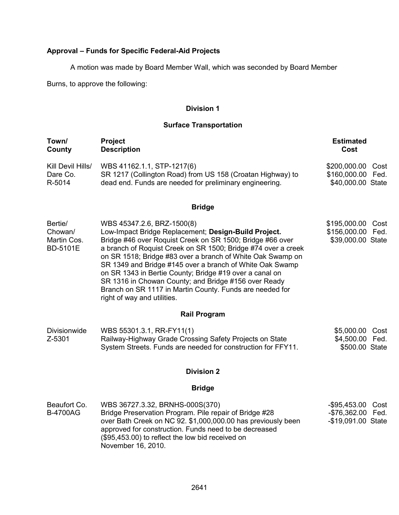## **Approval – Funds for Specific Federal-Aid Projects**

A motion was made by Board Member Wall, which was seconded by Board Member

Burns, to approve the following:

## **Division 1**

## **Surface Transportation**

| Town/<br>County                                      | Project<br><b>Description</b>                                                                                                                                                                                                                                                                                                                                                                                                                                                                                                                            | <b>Estimated</b><br>Cost                                        |
|------------------------------------------------------|----------------------------------------------------------------------------------------------------------------------------------------------------------------------------------------------------------------------------------------------------------------------------------------------------------------------------------------------------------------------------------------------------------------------------------------------------------------------------------------------------------------------------------------------------------|-----------------------------------------------------------------|
| Kill Devil Hills/<br>Dare Co.<br>R-5014              | WBS 41162.1.1, STP-1217(6)<br>SR 1217 (Collington Road) from US 158 (Croatan Highway) to<br>dead end. Funds are needed for preliminary engineering.                                                                                                                                                                                                                                                                                                                                                                                                      | \$200,000.00<br>Cost<br>\$160,000.00 Fed.<br>\$40,000.00 State  |
|                                                      | <b>Bridge</b>                                                                                                                                                                                                                                                                                                                                                                                                                                                                                                                                            |                                                                 |
| Bertie/<br>Chowan/<br>Martin Cos.<br><b>BD-5101E</b> | WBS 45347.2.6, BRZ-1500(8)<br>Low-Impact Bridge Replacement; Design-Build Project.<br>Bridge #46 over Roquist Creek on SR 1500; Bridge #66 over<br>a branch of Roquist Creek on SR 1500; Bridge #74 over a creek<br>on SR 1518; Bridge #83 over a branch of White Oak Swamp on<br>SR 1349 and Bridge #145 over a branch of White Oak Swamp<br>on SR 1343 in Bertie County; Bridge #19 over a canal on<br>SR 1316 in Chowan County; and Bridge #156 over Ready<br>Branch on SR 1117 in Martin County. Funds are needed for<br>right of way and utilities. | \$195,000.00<br>Cost<br>\$156,000.00 Fed.<br>\$39,000.00 State  |
|                                                      | <b>Rail Program</b>                                                                                                                                                                                                                                                                                                                                                                                                                                                                                                                                      |                                                                 |
| Divisionwide<br>Z-5301                               | WBS 55301.3.1, RR-FY11(1)<br>Railway-Highway Grade Crossing Safety Projects on State<br>System Streets. Funds are needed for construction for FFY11.                                                                                                                                                                                                                                                                                                                                                                                                     | \$5,000.00<br>Cost<br>\$4,500.00<br>Fed.<br>\$500.00 State      |
|                                                      | <b>Division 2</b>                                                                                                                                                                                                                                                                                                                                                                                                                                                                                                                                        |                                                                 |
|                                                      | <b>Bridge</b>                                                                                                                                                                                                                                                                                                                                                                                                                                                                                                                                            |                                                                 |
| Beaufort Co.<br><b>B-4700AG</b>                      | WBS 36727.3.32, BRNHS-000S(370)<br>Bridge Preservation Program. Pile repair of Bridge #28<br>over Bath Creek on NC 92. \$1,000,000.00 has previously been<br>approved for construction. Funds need to be decreased<br>(\$95,453.00) to reflect the low bid received on<br>November 16, 2010.                                                                                                                                                                                                                                                             | -\$95,453.00<br>Cost<br>-\$76,362.00 Fed.<br>-\$19,091.00 State |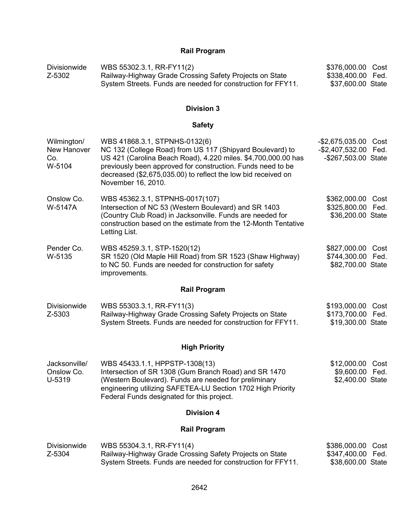## **Rail Program**

| Divisionwide | WBS 55302.3.1, RR-FY11(2)                                    | \$376,000.00 Cost |  |
|--------------|--------------------------------------------------------------|-------------------|--|
| Z-5302       | Railway-Highway Grade Crossing Safety Projects on State      | \$338,400.00 Fed. |  |
|              | System Streets. Funds are needed for construction for FFY11. | \$37,600.00 State |  |

## **Division 3**

## **Safety**

| Wilmington/<br>New Hanover<br>Co.<br>W-5104 | WBS 41868.3.1, STPNHS-0132(6)<br>NC 132 (College Road) from US 117 (Shipyard Boulevard) to<br>US 421 (Carolina Beach Road), 4.220 miles. \$4,700,000.00 has<br>previously been approved for construction. Funds need to be<br>decreased (\$2,675,035.00) to reflect the low bid received on<br>November 16, 2010. | $-$2,675,035.00$<br>$-$2,407,532.00$<br>-\$267,503.00 State | Cost<br>Fed. |
|---------------------------------------------|-------------------------------------------------------------------------------------------------------------------------------------------------------------------------------------------------------------------------------------------------------------------------------------------------------------------|-------------------------------------------------------------|--------------|
| Onslow Co.<br>W-5147A                       | WBS 45362.3.1, STPNHS-0017(107)<br>Intersection of NC 53 (Western Boulevard) and SR 1403<br>(Country Club Road) in Jacksonville. Funds are needed for<br>construction based on the estimate from the 12-Month Tentative<br>Letting List.                                                                          | \$362,000.00 Cost<br>\$325,800.00<br>\$36,200.00 State      | Fed.         |
| Pender Co.<br>W-5135                        | WBS 45259.3.1, STP-1520(12)<br>SR 1520 (Old Maple Hill Road) from SR 1523 (Shaw Highway)<br>to NC 50. Funds are needed for construction for safety<br>improvements.                                                                                                                                               | \$827,000.00 Cost<br>\$744,300.00<br>\$82,700.00 State      | Fed.         |
|                                             | <b>Rail Program</b>                                                                                                                                                                                                                                                                                               |                                                             |              |
| <b>Divisionwide</b><br>Z-5303               | WBS 55303.3.1, RR-FY11(3)<br>Railway-Highway Grade Crossing Safety Projects on State<br>System Streets. Funds are needed for construction for FFY11.                                                                                                                                                              | \$193,000.00<br>\$173,700.00<br>\$19,300.00 State           | Cost<br>Fed. |
|                                             | <b>High Priority</b>                                                                                                                                                                                                                                                                                              |                                                             |              |
| Jacksonville/<br>Onslow Co.<br>U-5319       | WBS 45433.1.1, HPPSTP-1308(13)<br>Intersection of SR 1308 (Gum Branch Road) and SR 1470<br>(Western Boulevard). Funds are needed for preliminary<br>engineering utilizing SAFETEA-LU Section 1702 High Priority<br>Federal Funds designated for this project.                                                     | \$12,000.00 Cost<br>\$9,600.00 Fed.<br>\$2,400.00 State     |              |
|                                             | <b>Division 4</b>                                                                                                                                                                                                                                                                                                 |                                                             |              |
|                                             | <b>Rail Program</b>                                                                                                                                                                                                                                                                                               |                                                             |              |
| <b>Divisionwide</b><br>Z-5304               | WBS 55304.3.1, RR-FY11(4)<br>Railway-Highway Grade Crossing Safety Projects on State                                                                                                                                                                                                                              | \$386,000.00<br>\$347,400.00                                | Cost<br>Fed. |

System Streets. Funds are needed for construction for FFY11.

\$38,600.00 State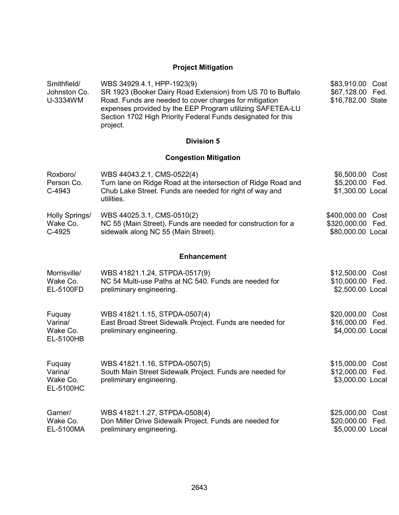## **Project Mitigation**

| Smithfield/<br>Johnston Co.<br>U-3334WM           | WBS 34929.4.1, HPP-1923(9)<br>SR 1923 (Booker Dairy Road Extension) from US 70 to Buffalo<br>Road. Funds are needed to cover charges for mitigation<br>expenses provided by the EEP Program utilizing SAFETEA-LU<br>Section 1702 High Priority Federal Funds designated for this<br>project. | \$83,910.00 Cost<br>\$67,128.00 Fed.<br>\$16,782.00 State         |
|---------------------------------------------------|----------------------------------------------------------------------------------------------------------------------------------------------------------------------------------------------------------------------------------------------------------------------------------------------|-------------------------------------------------------------------|
|                                                   | <b>Division 5</b>                                                                                                                                                                                                                                                                            |                                                                   |
|                                                   | <b>Congestion Mitigation</b>                                                                                                                                                                                                                                                                 |                                                                   |
| Roxboro/<br>Person Co.<br>C-4943                  | WBS 44043.2.1, CMS-0522(4)<br>Turn lane on Ridge Road at the intersection of Ridge Road and<br>Chub Lake Street. Funds are needed for right of way and<br>utilities.                                                                                                                         | \$6,500.00 Cost<br>\$5,200.00 Fed.<br>\$1,300.00 Local            |
| Holly Springs/<br>Wake Co.<br>$C-4925$            | WBS 44025.3.1, CMS-0510(2)<br>NC 55 (Main Street). Funds are needed for construction for a<br>sidewalk along NC 55 (Main Street).                                                                                                                                                            | \$400,000.00<br>Cost<br>\$320,000.00<br>Fed.<br>\$80,000.00 Local |
|                                                   | <b>Enhancement</b>                                                                                                                                                                                                                                                                           |                                                                   |
| Morrisville/<br>Wake Co.<br>EL-5100FD             | WBS 41821.1.24, STPDA-0517(9)<br>NC 54 Multi-use Paths at NC 540. Funds are needed for<br>preliminary engineering.                                                                                                                                                                           | \$12,500.00 Cost<br>\$10,000.00 Fed.<br>\$2,500.00 Local          |
| Fuquay<br>Varina/<br>Wake Co.<br>EL-5100HB        | WBS 41821.1.15, STPDA-0507(4)<br>East Broad Street Sidewalk Project. Funds are needed for<br>preliminary engineering.                                                                                                                                                                        | \$20,000.00 Cost<br>\$16,000.00 Fed.<br>\$4,000.00 Local          |
| Fuquay<br>Varina/<br>Wake Co.<br><b>EL-5100HC</b> | WBS 41821.1.16, STPDA-0507(5)<br>South Main Street Sidewalk Project. Funds are needed for<br>preliminary engineering.                                                                                                                                                                        | \$15,000.00 Cost<br>\$12,000.00 Fed.<br>\$3,000.00 Local          |
| Garner/<br>Wake Co.<br>EL-5100MA                  | WBS 41821.1.27, STPDA-0508(4)<br>Don Miller Drive Sidewalk Project. Funds are needed for<br>preliminary engineering.                                                                                                                                                                         | \$25,000.00 Cost<br>\$20,000.00<br>Fed.<br>\$5,000.00 Local       |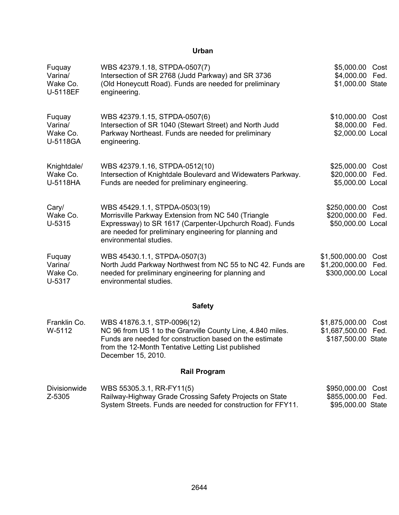## **Urban**

| Fuquay<br>Varina/<br>Wake Co.<br>U-5118EF | WBS 42379.1.18, STPDA-0507(7)<br>Intersection of SR 2768 (Judd Parkway) and SR 3736<br>(Old Honeycutt Road). Funds are needed for preliminary<br>engineering.                                                                        | \$5,000.00 Cost<br>\$4,000.00<br>Fed.<br>\$1,000.00 State              |
|-------------------------------------------|--------------------------------------------------------------------------------------------------------------------------------------------------------------------------------------------------------------------------------------|------------------------------------------------------------------------|
| Fuquay<br>Varina/<br>Wake Co.<br>U-5118GA | WBS 42379.1.15, STPDA-0507(6)<br>Intersection of SR 1040 (Stewart Street) and North Judd<br>Parkway Northeast. Funds are needed for preliminary<br>engineering.                                                                      | \$10,000.00<br>Cost<br>\$8,000.00<br>Fed.<br>\$2,000.00 Local          |
| Knightdale/<br>Wake Co.<br>U-5118HA       | WBS 42379.1.16, STPDA-0512(10)<br>Intersection of Knightdale Boulevard and Widewaters Parkway.<br>Funds are needed for preliminary engineering.                                                                                      | \$25,000.00<br>Cost<br>\$20,000.00<br>Fed.<br>\$5,000.00 Local         |
| Cary/<br>Wake Co.<br>U-5315               | WBS 45429.1.1, STPDA-0503(19)<br>Morrisville Parkway Extension from NC 540 (Triangle<br>Expressway) to SR 1617 (Carpenter-Upchurch Road). Funds<br>are needed for preliminary engineering for planning and<br>environmental studies. | \$250,000.00 Cost<br>\$200,000.00<br>Fed.<br>\$50,000.00 Local         |
| Fuquay<br>Varina/<br>Wake Co.<br>U-5317   | WBS 45430.1.1, STPDA-0507(3)<br>North Judd Parkway Northwest from NC 55 to NC 42. Funds are<br>needed for preliminary engineering for planning and<br>environmental studies.                                                         | \$1,500,000.00<br>Cost<br>\$1,200,000.00<br>Fed.<br>\$300,000.00 Local |
|                                           | <b>Safety</b>                                                                                                                                                                                                                        |                                                                        |
| Franklin Co.<br>W-5112                    | WBS 41876.3.1, STP-0096(12)<br>NC 96 from US 1 to the Granville County Line, 4.840 miles.<br>Funds are needed for construction based on the estimate<br>from the 12-Month Tentative Letting List published<br>December 15, 2010.     | \$1,875,000.00<br>Cost<br>\$1,687,500.00<br>Fed.<br>\$187,500.00 State |
|                                           | <b>Rail Program</b>                                                                                                                                                                                                                  |                                                                        |
| Divisionwide<br>Z-5305                    | WBS 55305.3.1, RR-FY11(5)<br>Railway-Highway Grade Crossing Safety Projects on State<br>System Streets. Funds are needed for construction for FFY11.                                                                                 | \$950,000.00<br>Cost<br>\$855,000.00 Fed.<br>\$95,000.00 State         |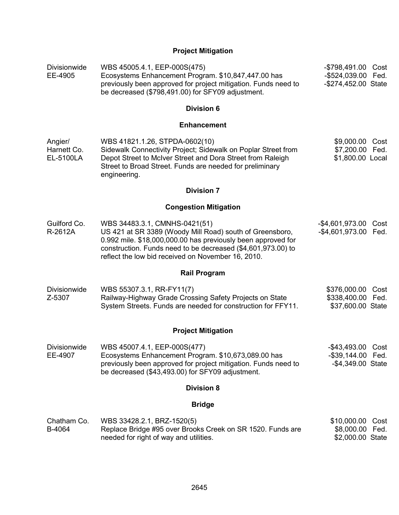## **Project Mitigation**

| Divisionwide<br>EE-4905             | WBS 45005.4.1, EEP-000S(475)<br>Ecosystems Enhancement Program. \$10,847,447.00 has<br>previously been approved for project mitigation. Funds need to<br>be decreased (\$798,491.00) for SFY09 adjustment.                                                                      | -\$798,491.00 Cost<br>-\$524,039.00 Fed.<br>-\$274,452.00 State |
|-------------------------------------|---------------------------------------------------------------------------------------------------------------------------------------------------------------------------------------------------------------------------------------------------------------------------------|-----------------------------------------------------------------|
|                                     | <b>Division 6</b>                                                                                                                                                                                                                                                               |                                                                 |
|                                     | <b>Enhancement</b>                                                                                                                                                                                                                                                              |                                                                 |
| Angier/<br>Harnett Co.<br>EL-5100LA | WBS 41821.1.26, STPDA-0602(10)<br>Sidewalk Connectivity Project; Sidewalk on Poplar Street from<br>Depot Street to McIver Street and Dora Street from Raleigh<br>Street to Broad Street. Funds are needed for preliminary<br>engineering.                                       | \$9,000.00 Cost<br>\$7,200.00 Fed.<br>\$1,800.00 Local          |
|                                     | <b>Division 7</b>                                                                                                                                                                                                                                                               |                                                                 |
|                                     | <b>Congestion Mitigation</b>                                                                                                                                                                                                                                                    |                                                                 |
| Guilford Co.<br>R-2612A             | WBS 34483.3.1, CMNHS-0421(51)<br>US 421 at SR 3389 (Woody Mill Road) south of Greensboro,<br>0.992 mile. \$18,000,000.00 has previously been approved for<br>construction. Funds need to be decreased (\$4,601,973.00) to<br>reflect the low bid received on November 16, 2010. | -\$4,601,973.00 Cost<br>-\$4,601,973.00 Fed.                    |
|                                     | <b>Rail Program</b>                                                                                                                                                                                                                                                             |                                                                 |
| Divisionwide<br>Z-5307              | WBS 55307.3.1, RR-FY11(7)<br>Railway-Highway Grade Crossing Safety Projects on State<br>System Streets. Funds are needed for construction for FFY11.                                                                                                                            | \$376,000.00 Cost<br>\$338,400.00 Fed.<br>\$37,600.00 State     |
|                                     | <b>Project Mitigation</b>                                                                                                                                                                                                                                                       |                                                                 |
| Divisionwide<br>EE-4907             | WBS 45007.4.1, EEP-000S(477)<br>Ecosystems Enhancement Program. \$10,673,089.00 has<br>previously been approved for project mitigation. Funds need to<br>be decreased (\$43,493.00) for SFY09 adjustment.                                                                       | -\$43,493.00 Cost<br>-\$39,144.00 Fed.<br>-\$4,349.00 State     |
|                                     | <b>Division 8</b>                                                                                                                                                                                                                                                               |                                                                 |
|                                     | <b>Bridge</b>                                                                                                                                                                                                                                                                   |                                                                 |
| Chatham Co.<br>B-4064               | WBS 33428.2.1, BRZ-1520(5)<br>Replace Bridge #95 over Brooks Creek on SR 1520. Funds are<br>needed for right of way and utilities.                                                                                                                                              | \$10,000.00 Cost<br>\$8,000.00 Fed.<br>\$2,000.00 State         |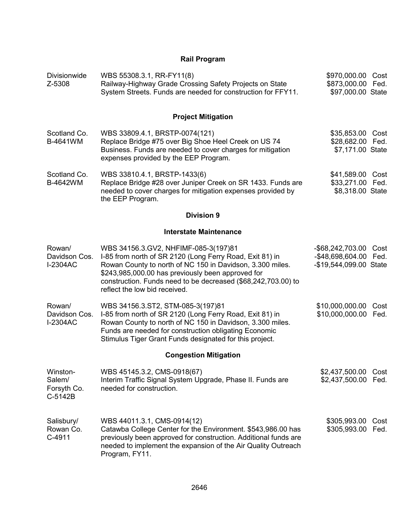## **Rail Program**

| <b>Divisionwide</b><br>Z-5308                | WBS 55308.3.1, RR-FY11(8)<br>Railway-Highway Grade Crossing Safety Projects on State<br>System Streets. Funds are needed for construction for FFY11.                                                                                                                                                                 | \$970,000.00 Cost<br>\$873,000.00 Fed.<br>\$97,000.00 State    |              |
|----------------------------------------------|----------------------------------------------------------------------------------------------------------------------------------------------------------------------------------------------------------------------------------------------------------------------------------------------------------------------|----------------------------------------------------------------|--------------|
|                                              | <b>Project Mitigation</b>                                                                                                                                                                                                                                                                                            |                                                                |              |
| Scotland Co.<br>B-4641WM                     | WBS 33809.4.1, BRSTP-0074(121)<br>Replace Bridge #75 over Big Shoe Heel Creek on US 74<br>Business. Funds are needed to cover charges for mitigation<br>expenses provided by the EEP Program.                                                                                                                        | \$35,853.00 Cost<br>\$28,682.00 Fed.<br>\$7,171.00 State       |              |
| Scotland Co.<br>B-4642WM                     | WBS 33810.4.1, BRSTP-1433(6)<br>Replace Bridge #28 over Juniper Creek on SR 1433. Funds are<br>needed to cover charges for mitigation expenses provided by<br>the EEP Program.                                                                                                                                       | \$41,589.00<br>\$33,271.00<br>\$8,318.00 State                 | Cost<br>Fed. |
|                                              | <b>Division 9</b>                                                                                                                                                                                                                                                                                                    |                                                                |              |
|                                              | <b>Interstate Maintenance</b>                                                                                                                                                                                                                                                                                        |                                                                |              |
| Rowan/<br>Davidson Cos.<br><b>I-2304AC</b>   | WBS 34156.3.GV2, NHFIMF-085-3(197)81<br>I-85 from north of SR 2120 (Long Ferry Road, Exit 81) in<br>Rowan County to north of NC 150 in Davidson, 3.300 miles.<br>\$243,985,000.00 has previously been approved for<br>construction. Funds need to be decreased (\$68,242,703.00) to<br>reflect the low bid received. | -\$68,242,703.00<br>-\$48,698,604.00<br>-\$19,544,099.00 State | Cost<br>Fed. |
| Rowan/<br>Davidson Cos.<br><b>I-2304AC</b>   | WBS 34156.3.ST2, STM-085-3(197)81<br>I-85 from north of SR 2120 (Long Ferry Road, Exit 81) in<br>Rowan County to north of NC 150 in Davidson, 3.300 miles.<br>Funds are needed for construction obligating Economic<br>Stimulus Tiger Grant Funds designated for this project.                                       | \$10,000,000.00<br>\$10,000,000.00                             | Cost<br>Fed. |
|                                              | <b>Congestion Mitigation</b>                                                                                                                                                                                                                                                                                         |                                                                |              |
| Winston-<br>Salem/<br>Forsyth Co.<br>C-5142B | WBS 45145.3.2, CMS-0918(67)<br>Interim Traffic Signal System Upgrade, Phase II. Funds are<br>needed for construction.                                                                                                                                                                                                | \$2,437,500.00<br>\$2,437,500.00                               | Cost<br>Fed. |
| Salisbury/<br>Rowan Co.<br>C-4911            | WBS 44011.3.1, CMS-0914(12)<br>Catawba College Center for the Environment. \$543,986.00 has<br>previously been approved for construction. Additional funds are<br>needed to implement the expansion of the Air Quality Outreach<br>Program, FY11.                                                                    | \$305,993.00<br>\$305,993.00                                   | Cost<br>Fed. |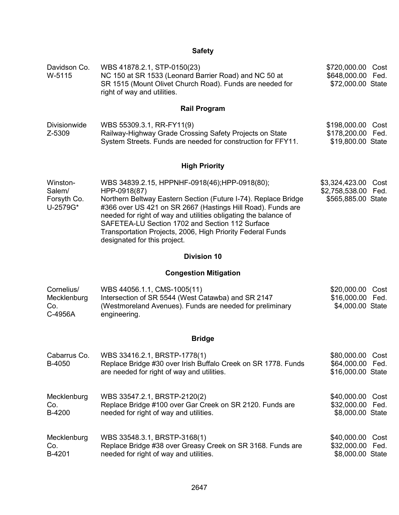## **Safety**

| Davidson Co.<br>W-5115                        | WBS 41878.2.1, STP-0150(23)<br>NC 150 at SR 1533 (Leonard Barrier Road) and NC 50 at<br>SR 1515 (Mount Olivet Church Road). Funds are needed for<br>right of way and utilities.                                                                                                                                                                                                                                    | \$720,000.00<br>Cost<br>\$648,000.00<br>Fed.<br>\$72,000.00 State      |
|-----------------------------------------------|--------------------------------------------------------------------------------------------------------------------------------------------------------------------------------------------------------------------------------------------------------------------------------------------------------------------------------------------------------------------------------------------------------------------|------------------------------------------------------------------------|
|                                               | <b>Rail Program</b>                                                                                                                                                                                                                                                                                                                                                                                                |                                                                        |
| Divisionwide<br>Z-5309                        | WBS 55309.3.1, RR-FY11(9)<br>Railway-Highway Grade Crossing Safety Projects on State<br>System Streets. Funds are needed for construction for FFY11.                                                                                                                                                                                                                                                               | \$198,000.00<br>Cost<br>\$178,200.00<br>Fed.<br>\$19,800.00 State      |
|                                               | <b>High Priority</b>                                                                                                                                                                                                                                                                                                                                                                                               |                                                                        |
| Winston-<br>Salem/<br>Forsyth Co.<br>U-2579G* | WBS 34839.2.15, HPPNHF-0918(46);HPP-0918(80);<br>HPP-0918(87)<br>Northern Beltway Eastern Section (Future I-74). Replace Bridge<br>#366 over US 421 on SR 2667 (Hastings Hill Road). Funds are<br>needed for right of way and utilities obligating the balance of<br>SAFETEA-LU Section 1702 and Section 112 Surface<br>Transportation Projects, 2006, High Priority Federal Funds<br>designated for this project. | \$3,324,423.00<br>Cost<br>\$2,758,538.00<br>Fed.<br>\$565,885.00 State |
|                                               | <b>Division 10</b>                                                                                                                                                                                                                                                                                                                                                                                                 |                                                                        |
|                                               | <b>Congestion Mitigation</b>                                                                                                                                                                                                                                                                                                                                                                                       |                                                                        |
| Cornelius/<br>Mecklenburg<br>Co.<br>C-4956A   | WBS 44056.1.1, CMS-1005(11)<br>Intersection of SR 5544 (West Catawba) and SR 2147<br>(Westmoreland Avenues). Funds are needed for preliminary<br>engineering.                                                                                                                                                                                                                                                      | \$20,000.00<br>Cost<br>\$16,000.00<br>Fed.<br>\$4,000.00 State         |

## **Bridge**

| Cabarrus Co.<br>B-4050 | WBS 33416.2.1, BRSTP-1778(1)<br>Replace Bridge #30 over Irish Buffalo Creek on SR 1778. Funds<br>are needed for right of way and utilities. | \$80,000.00<br>\$64,000.00 Fed.<br>\$16,000.00 State | Cost |
|------------------------|---------------------------------------------------------------------------------------------------------------------------------------------|------------------------------------------------------|------|
| Mecklenburg            | WBS 33547.2.1, BRSTP-2120(2)                                                                                                                | \$40,000.00                                          | Cost |
| Co.                    | Replace Bridge #100 over Gar Creek on SR 2120. Funds are                                                                                    | \$32,000.00 Fed.                                     |      |
| B-4200                 | needed for right of way and utilities.                                                                                                      | \$8,000.00 State                                     |      |
| Mecklenburg            | WBS 33548.3.1, BRSTP-3168(1)                                                                                                                | \$40,000.00                                          | Cost |
| Co.                    | Replace Bridge #38 over Greasy Creek on SR 3168. Funds are                                                                                  | \$32,000.00 Fed.                                     |      |
| B-4201                 | needed for right of way and utilities.                                                                                                      | \$8,000.00 State                                     |      |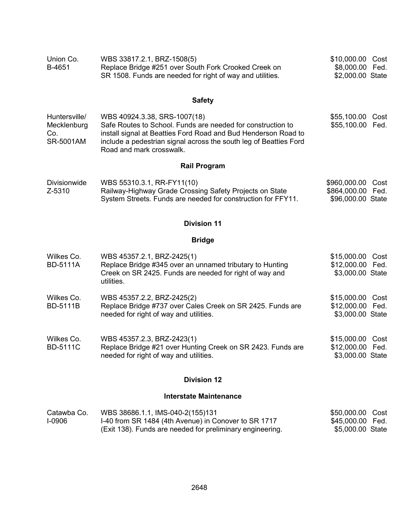| Union Co. | WBS 33817.2.1, BRZ-1508(5)                                | \$10,000.00 Cost |
|-----------|-----------------------------------------------------------|------------------|
| B-4651    | Replace Bridge #251 over South Fork Crooked Creek on      | \$8,000.00 Fed.  |
|           | SR 1508. Funds are needed for right of way and utilities. | \$2,000.00 State |

## **Safety**

| Huntersville/    | WBS 40924.3.38, SRS-1007(18)                                                                                                                                    | \$55,100.00 Cost |  |
|------------------|-----------------------------------------------------------------------------------------------------------------------------------------------------------------|------------------|--|
| Mecklenburg      | Safe Routes to School. Funds are needed for construction to                                                                                                     | \$55,100.00 Fed. |  |
| Co.<br>SR-5001AM | install signal at Beatties Ford Road and Bud Henderson Road to<br>include a pedestrian signal across the south leg of Beatties Ford<br>Road and mark crosswalk. |                  |  |

## **Rail Program**

| <b>Divisionwide</b> | WBS 55310.3.1, RR-FY11(10)                                   | \$960,000.00 Cost |  |
|---------------------|--------------------------------------------------------------|-------------------|--|
| Z-5310              | Railway-Highway Grade Crossing Safety Projects on State      | \$864,000.00 Fed. |  |
|                     | System Streets. Funds are needed for construction for FFY11. | \$96,000.00 State |  |

## **Division 11**

## **Bridge**

| Wilkes Co.<br><b>BD-5111A</b> | WBS 45357.2.1, BRZ-2425(1)<br>Replace Bridge #345 over an unnamed tributary to Hunting<br>Creek on SR 2425. Funds are needed for right of way and<br>utilities. | \$15,000.00 Cost<br>\$12,000.00 Fed.<br>\$3,000.00 State |  |
|-------------------------------|-----------------------------------------------------------------------------------------------------------------------------------------------------------------|----------------------------------------------------------|--|
| Wilkes Co.<br><b>BD-5111B</b> | WBS 45357.2.2, BRZ-2425(2)<br>Replace Bridge #737 over Cales Creek on SR 2425. Funds are<br>needed for right of way and utilities.                              | \$15,000.00 Cost<br>\$12,000.00 Fed.<br>\$3,000.00 State |  |
| Wilkes Co.<br><b>BD-5111C</b> | WBS 45357.2.3, BRZ-2423(1)<br>Replace Bridge #21 over Hunting Creek on SR 2423. Funds are<br>needed for right of way and utilities.                             | \$15,000.00 Cost<br>\$12,000.00 Fed.<br>\$3,000.00 State |  |

## **Division 12**

### **Interstate Maintenance**

| Catawba Co.   | WBS 38686.1.1, IMS-040-2(155)131                          | \$50,000.00 Cost |  |
|---------------|-----------------------------------------------------------|------------------|--|
| <b>1-0906</b> | 1-40 from SR 1484 (4th Avenue) in Conover to SR 1717      | \$45,000.00 Fed. |  |
|               | (Exit 138). Funds are needed for preliminary engineering. | \$5,000.00 State |  |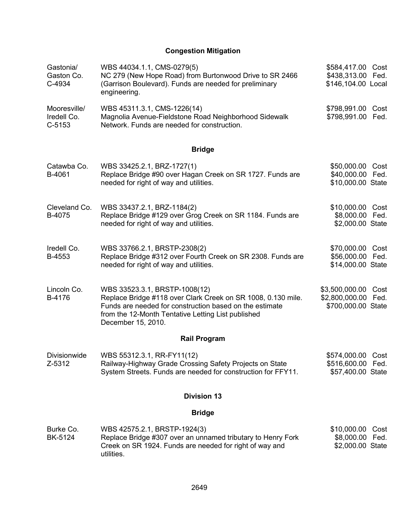## **Congestion Mitigation**

| Gastonia/<br>Gaston Co.<br>C-4934       | WBS 44034.1.1, CMS-0279(5)<br>NC 279 (New Hope Road) from Burtonwood Drive to SR 2466<br>(Garrison Boulevard). Funds are needed for preliminary<br>engineering.                                                                      | \$584,417.00 Cost<br>\$438,313.00 Fed.<br>\$146,104.00 Local        |  |  |  |
|-----------------------------------------|--------------------------------------------------------------------------------------------------------------------------------------------------------------------------------------------------------------------------------------|---------------------------------------------------------------------|--|--|--|
| Mooresville/<br>Iredell Co.<br>$C-5153$ | WBS 45311.3.1, CMS-1226(14)<br>Magnolia Avenue-Fieldstone Road Neighborhood Sidewalk<br>Network. Funds are needed for construction.                                                                                                  | \$798,991.00<br>Cost<br>\$798,991.00<br>Fed.                        |  |  |  |
|                                         | <b>Bridge</b>                                                                                                                                                                                                                        |                                                                     |  |  |  |
| Catawba Co.<br>B-4061                   | WBS 33425.2.1, BRZ-1727(1)<br>Replace Bridge #90 over Hagan Creek on SR 1727. Funds are<br>needed for right of way and utilities.                                                                                                    | \$50,000.00<br>Cost<br>\$40,000.00 Fed.<br>\$10,000.00 State        |  |  |  |
| Cleveland Co.<br>B-4075                 | WBS 33437.2.1, BRZ-1184(2)<br>Replace Bridge #129 over Grog Creek on SR 1184. Funds are<br>needed for right of way and utilities.                                                                                                    | \$10,000.00 Cost<br>\$8,000.00 Fed.<br>\$2,000.00 State             |  |  |  |
| Iredell Co.<br>B-4553                   | WBS 33766.2.1, BRSTP-2308(2)<br>Replace Bridge #312 over Fourth Creek on SR 2308. Funds are<br>needed for right of way and utilities.                                                                                                | \$70,000.00<br>Cost<br>\$56,000.00<br>Fed.<br>\$14,000.00 State     |  |  |  |
| Lincoln Co.<br>B-4176                   | WBS 33523.3.1, BRSTP-1008(12)<br>Replace Bridge #118 over Clark Creek on SR 1008, 0.130 mile.<br>Funds are needed for construction based on the estimate<br>from the 12-Month Tentative Letting List published<br>December 15, 2010. | \$3,500,000.00<br>Cost<br>\$2,800,000.00 Fed.<br>\$700,000.00 State |  |  |  |
|                                         | <b>Rail Program</b>                                                                                                                                                                                                                  |                                                                     |  |  |  |
| Divisionwide<br>Z-5312                  | WBS 55312.3.1, RR-FY11(12)<br>Railway-Highway Grade Crossing Safety Projects on State<br>System Streets. Funds are needed for construction for FFY11.                                                                                | \$574,000.00<br>Cost<br>\$516,600.00<br>Fed.<br>\$57,400.00 State   |  |  |  |
| <b>Division 13</b>                      |                                                                                                                                                                                                                                      |                                                                     |  |  |  |
|                                         | <b>Bridge</b>                                                                                                                                                                                                                        |                                                                     |  |  |  |
| Burke Co.<br>BK-5124                    | WBS 42575.2.1, BRSTP-1924(3)<br>Replace Bridge #307 over an unnamed tributary to Henry Fork<br>Creek on SR 1924. Funds are needed for right of way and<br>utilities.                                                                 | \$10,000.00<br>Cost<br>\$8,000.00<br>Fed.<br>\$2,000.00 State       |  |  |  |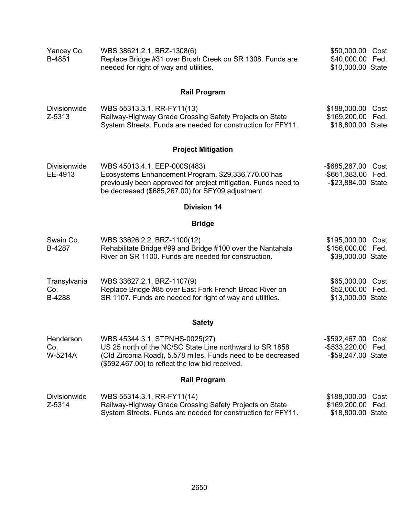| Yancey Co.<br>B-4851           | WBS 38621.2.1, BRZ-1308(6)<br>Replace Bridge #31 over Brush Creek on SR 1308. Funds are<br>needed for right of way and utilities.                                                                             | \$50,000.00 Cost<br>\$40,000.00<br>Fed.<br>\$10,000.00 State         |  |  |  |
|--------------------------------|---------------------------------------------------------------------------------------------------------------------------------------------------------------------------------------------------------------|----------------------------------------------------------------------|--|--|--|
|                                | <b>Rail Program</b>                                                                                                                                                                                           |                                                                      |  |  |  |
| <b>Divisionwide</b><br>Z-5313  | WBS 55313.3.1, RR-FY11(13)<br>Railway-Highway Grade Crossing Safety Projects on State<br>System Streets. Funds are needed for construction for FFY11.                                                         | \$188,000.00<br>Cost<br>\$169,200.00<br>Fed.<br>\$18,800.00 State    |  |  |  |
|                                | <b>Project Mitigation</b>                                                                                                                                                                                     |                                                                      |  |  |  |
| <b>Divisionwide</b><br>EE-4913 | WBS 45013.4.1, EEP-000S(483)<br>Ecosystems Enhancement Program. \$29,336,770.00 has<br>previously been approved for project mitigation. Funds need to<br>be decreased (\$685,267.00) for SFY09 adjustment.    | -\$685,267.00 Cost<br>-\$661,383.00 Fed.<br>-\$23,884.00 State       |  |  |  |
|                                | <b>Division 14</b>                                                                                                                                                                                            |                                                                      |  |  |  |
|                                | <b>Bridge</b>                                                                                                                                                                                                 |                                                                      |  |  |  |
| Swain Co.<br>B-4287            | WBS 33626.2.2, BRZ-1100(12)<br>Rehabilitate Bridge #99 and Bridge #100 over the Nantahala<br>River on SR 1100. Funds are needed for construction.                                                             | \$195,000.00 Cost<br>\$156,000.00 Fed.<br>\$39,000.00 State          |  |  |  |
| Transylvania<br>Co.<br>B-4288  | WBS 33627.2.1, BRZ-1107(9)<br>Replace Bridge #85 over East Fork French Broad River on<br>SR 1107. Funds are needed for right of way and utilities.                                                            | \$65,000.00<br>Cost<br>\$52,000.00 Fed.<br>\$13,000.00 State         |  |  |  |
| <b>Safety</b>                  |                                                                                                                                                                                                               |                                                                      |  |  |  |
| Henderson<br>Co.<br>W-5214A    | WBS 45344.3.1, STPNHS-0025(27)<br>US 25 north of the NC/SC State Line northward to SR 1858<br>(Old Zirconia Road), 5.578 miles. Funds need to be decreased<br>(\$592,467.00) to reflect the low bid received. | -\$592,467.00 Cost<br>$-$ \$533,220.00<br>Fed.<br>-\$59,247.00 State |  |  |  |
|                                | <b>Rail Program</b>                                                                                                                                                                                           |                                                                      |  |  |  |
| <b>Divisionwide</b><br>Z-5314  | WBS 55314.3.1, RR-FY11(14)<br>Railway-Highway Grade Crossing Safety Projects on State<br>System Streets. Funds are needed for construction for FFY11.                                                         | \$188,000.00<br>Cost<br>\$169,200.00 Fed.<br>\$18,800.00 State       |  |  |  |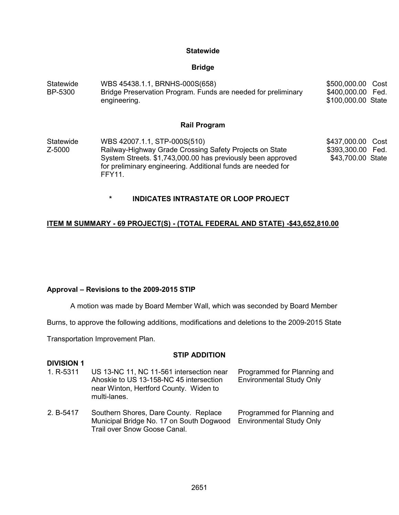#### **Statewide**

#### **Bridge**

| WBS 45438.1.1, BRNHS-000S(658)<br>Statewide<br>Bridge Preservation Program. Funds are needed for preliminary<br>BP-5300<br>engineering. |                                                                                                                                                                                                                                         | \$500,000.00<br>Cost<br>\$400,000.00 Fed.<br>\$100,000.00 State |
|-----------------------------------------------------------------------------------------------------------------------------------------|-----------------------------------------------------------------------------------------------------------------------------------------------------------------------------------------------------------------------------------------|-----------------------------------------------------------------|
|                                                                                                                                         | <b>Rail Program</b>                                                                                                                                                                                                                     |                                                                 |
| Statewide<br>Z-5000                                                                                                                     | WBS 42007.1.1, STP-000S(510)<br>Railway-Highway Grade Crossing Safety Projects on State<br>System Streets. \$1,743,000.00 has previously been approved<br>for preliminary engineering. Additional funds are needed for<br><b>FFY11.</b> | \$437,000.00 Cost<br>\$393,300.00 Fed.<br>\$43,700.00 State     |

**\* INDICATES INTRASTATE OR LOOP PROJECT** 

#### **ITEM M SUMMARY - 69 PROJECT(S) - (TOTAL FEDERAL AND STATE) -\$43,652,810.00**

#### **Approval – Revisions to the 2009-2015 STIP**

A motion was made by Board Member Wall, which was seconded by Board Member

Burns, to approve the following additions, modifications and deletions to the 2009-2015 State

Transportation Improvement Plan.

#### **STIP ADDITION**

#### **DIVISION 1**<br>1. R-5311 US 13-NC 11, NC 11-561 intersection near Ahoskie to US 13-158-NC 45 intersection near Winton, Hertford County. Widen to multi-lanes. Programmed for Planning and Environmental Study Only

2. B-5417 Southern Shores, Dare County. Replace Municipal Bridge No. 17 on South Dogwood Environmental Study OnlyTrail over Snow Goose Canal. Programmed for Planning and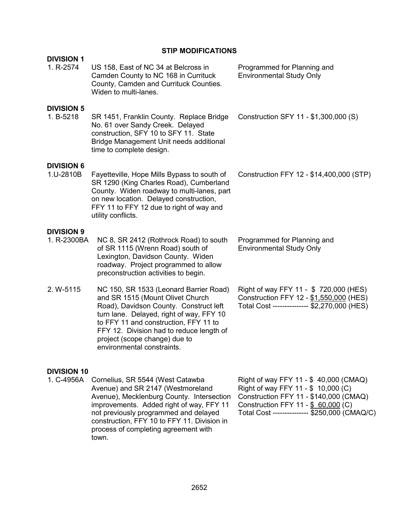## **STIP MODIFICATIONS**

| <b>DIVISION 1</b>                |                                                                                                                                                                                                                                                                                                                      |                                                                                                                                                                                                               |
|----------------------------------|----------------------------------------------------------------------------------------------------------------------------------------------------------------------------------------------------------------------------------------------------------------------------------------------------------------------|---------------------------------------------------------------------------------------------------------------------------------------------------------------------------------------------------------------|
| 1. R-2574                        | US 158, East of NC 34 at Belcross in<br>Camden County to NC 168 in Currituck<br>County, Camden and Currituck Counties.<br>Widen to multi-lanes.                                                                                                                                                                      | Programmed for Planning and<br><b>Environmental Study Only</b>                                                                                                                                                |
| <b>DIVISION 5</b><br>1. B-5218   | SR 1451, Franklin County. Replace Bridge<br>No. 61 over Sandy Creek. Delayed<br>construction, SFY 10 to SFY 11. State<br>Bridge Management Unit needs additional<br>time to complete design.                                                                                                                         | Construction SFY 11 - \$1,300,000 (S)                                                                                                                                                                         |
| <b>DIVISION 6</b><br>1.U-2810B   | Fayetteville, Hope Mills Bypass to south of<br>SR 1290 (King Charles Road), Cumberland<br>County. Widen roadway to multi-lanes, part<br>on new location. Delayed construction,<br>FFY 11 to FFY 12 due to right of way and<br>utility conflicts.                                                                     | Construction FFY 12 - \$14,400,000 (STP)                                                                                                                                                                      |
| <b>DIVISION 9</b><br>1. R-2300BA | NC 8, SR 2412 (Rothrock Road) to south<br>of SR 1115 (Wrenn Road) south of<br>Lexington, Davidson County. Widen<br>roadway. Project programmed to allow<br>preconstruction activities to begin.                                                                                                                      | Programmed for Planning and<br><b>Environmental Study Only</b>                                                                                                                                                |
| 2. W-5115                        | NC 150, SR 1533 (Leonard Barrier Road)<br>and SR 1515 (Mount Olivet Church<br>Road), Davidson County. Construct left<br>turn lane. Delayed, right of way, FFY 10<br>to FFY 11 and construction, FFY 11 to<br>FFY 12. Division had to reduce length of<br>project (scope change) due to<br>environmental constraints. | Right of way FFY 11 - \$720,000 (HES)<br>Construction FFY 12 - \$1,550,000 (HES)<br>Total Cost -------------- \$2,270,000 (HES)                                                                               |
| <b>DIVISION 10</b><br>1. C-4956A | Cornelius, SR 5544 (West Catawba<br>Avenue) and SR 2147 (Westmoreland<br>Avenue), Mecklenburg County. Intersection<br>improvements. Added right of way, FFY 11<br>not previously programmed and delayed<br>construction, FFY 10 to FFY 11. Division in<br>process of completing agreement with<br>town.              | Right of way FFY 11 - \$40,000 (CMAQ)<br>Right of way FFY 11 - \$ 10,000 (C)<br>Construction FFY 11 - \$140,000 (CMAQ)<br>Construction FFY 11 - \$ 60,000 (C)<br>Total Cost -------------- \$250,000 (CMAQ/C) |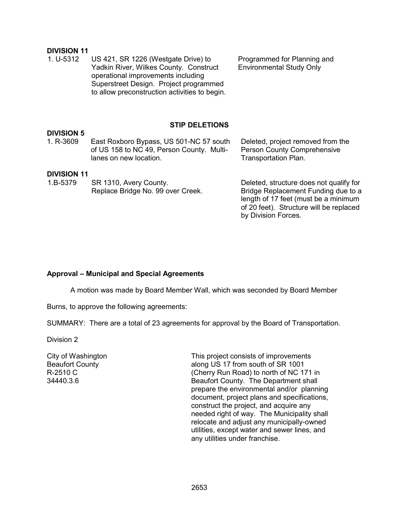# **DIVISION 11**

US 421, SR 1226 (Westgate Drive) to Yadkin River, Wilkes County. Construct operational improvements including Superstreet Design. Project programmed to allow preconstruction activities to begin. Programmed for Planning and Environmental Study Only

#### **STIP DELETIONS**

## **DIVISION 5**

East Roxboro Bypass, US 501-NC 57 south of US 158 to NC 49, Person County. Multilanes on new location.

#### **DIVISION 11**

| 1.B-5379 | SR 1310, Avery County.            |
|----------|-----------------------------------|
|          | Replace Bridge No. 99 over Creek. |

Deleted, structure does not qualify for Bridge Replacement Funding due to a length of 17 feet (must be a minimum of 20 feet). Structure will be replaced

Deleted, project removed from the Person County Comprehensive

Transportation Plan.

by Division Forces.

#### **Approval – Municipal and Special Agreements**

A motion was made by Board Member Wall, which was seconded by Board Member

Burns, to approve the following agreements:

SUMMARY: There are a total of 23 agreements for approval by the Board of Transportation.

Division 2

City of Washington Beaufort County R-2510 C 34440.3.6

This project consists of improvements along US 17 from south of SR 1001 (Cherry Run Road) to north of NC 171 in Beaufort County. The Department shall prepare the environmental and/or planning document, project plans and specifications, construct the project, and acquire any needed right of way. The Municipality shall relocate and adjust any municipally-owned utilities, except water and sewer lines, and any utilities under franchise.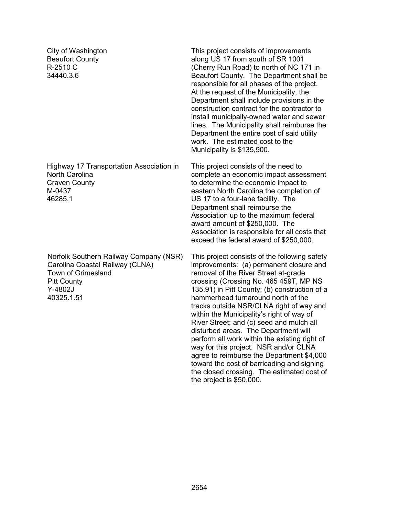City of Washington Beaufort County R-2510 C 34440.3.6

Highway 17 Transportation Association in North Carolina Craven County M-0437 46285.1

Norfolk Southern Railway Company (NSR) Carolina Coastal Railway (CLNA) Town of Grimesland Pitt County Y-4802J 40325.1.51

This project consists of improvements along US 17 from south of SR 1001 (Cherry Run Road) to north of NC 171 in Beaufort County. The Department shall be responsible for all phases of the project. At the request of the Municipality, the Department shall include provisions in the construction contract for the contractor to install municipally-owned water and sewer lines. The Municipality shall reimburse the Department the entire cost of said utility work. The estimated cost to the Municipality is \$135,900.

This project consists of the need to complete an economic impact assessment to determine the economic impact to eastern North Carolina the completion of US 17 to a four-lane facility. The Department shall reimburse the Association up to the maximum federal award amount of \$250,000. The Association is responsible for all costs that exceed the federal award of \$250,000.

This project consist*s* of the following safety improvements: (a) permanent closure and removal of the River Street at-grade crossing (Crossing No. 465 459T, MP NS 135.91) in Pitt County; (b) construction of a hammerhead turnaround north of the tracks outside NSR/CLNA right of way and within the Municipality's right of way of River Street; and (c) seed and mulch all disturbed areas*.* The Department will perform all work within the existing right of way for this project.NSR and/or CLNA agree to reimburse the Department \$4,000 toward the cost of barricading and signing the closed crossing*.* The estimated cost of the project is \$50,000.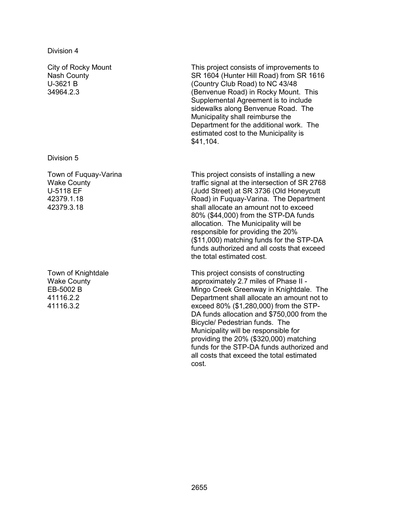City of Rocky Mount Nash County U-3621 B 34964.2.3

Division 5

Town of Fuquay-Varina Wake County U-5118 EF 42379.1.18 42379.3.18

Town of Knightdale Wake County EB-5002 B 41116.2.2 41116.3.2

This project consists of improvements to SR 1604 (Hunter Hill Road) from SR 1616 (Country Club Road) to NC 43/48 (Benvenue Road) in Rocky Mount. This Supplemental Agreement is to include sidewalks along Benvenue Road. The Municipality shall reimburse the Department for the additional work. The estimated cost to the Municipality is \$41,104.

This project consists of installing a new traffic signal at the intersection of SR 2768 (Judd Street) at SR 3736 (Old Honeycutt Road) in Fuquay-Varina. The Department shall allocate an amount not to exceed 80% (\$44,000) from the STP-DA funds allocation. The Municipality will be responsible for providing the 20% (\$11,000) matching funds for the STP-DA funds authorized and all costs that exceed the total estimated cost.

This project consists of constructing approximately 2.7 miles of Phase II - Mingo Creek Greenway in Knightdale. The Department shall allocate an amount not to exceed 80% (\$1,280,000) from the STP-DA funds allocation and \$750,000 from the Bicycle/ Pedestrian funds. The Municipality will be responsible for providing the 20% (\$320,000) matching funds for the STP-DA funds authorized and all costs that exceed the total estimated cost.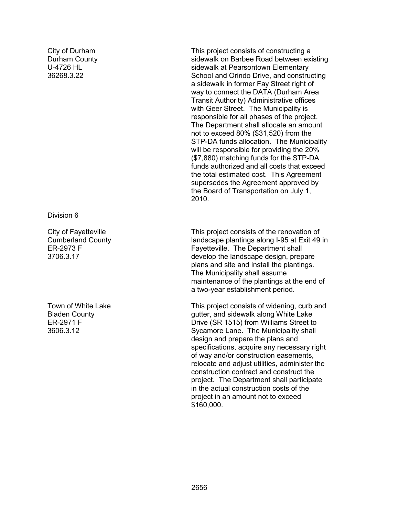City of Durham Durham County U-4726 HL 36268.3.22

Division 6

City of Fayetteville Cumberland County ER-2973 F 3706.3.17

Town of White Lake Bladen County ER-2971 F 3606.3.12

This project consists of constructing a sidewalk on Barbee Road between existing sidewalk at Pearsontown Elementary School and Orindo Drive, and constructing a sidewalk in former Fay Street right of way to connect the DATA (Durham Area Transit Authority) Administrative offices with Geer Street. The Municipality is responsible for all phases of the project. The Department shall allocate an amount not to exceed 80% (\$31,520) from the STP-DA funds allocation. The Municipality will be responsible for providing the 20% (\$7,880) matching funds for the STP-DA funds authorized and all costs that exceed the total estimated cost. This Agreement supersedes the Agreement approved by the Board of Transportation on July 1, 2010.

This project consists of the renovation of landscape plantings along I-95 at Exit 49 in Fayetteville. The Department shall develop the landscape design, prepare plans and site and install the plantings. The Municipality shall assume maintenance of the plantings at the end of a two-year establishment period.

This project consists of widening, curb and gutter, and sidewalk along White Lake Drive (SR 1515) from Williams Street to Sycamore Lane. The Municipality shall design and prepare the plans and specifications, acquire any necessary right of way and/or construction easements, relocate and adjust utilities, administer the construction contract and construct the project. The Department shall participate in the actual construction costs of the project in an amount not to exceed \$160,000.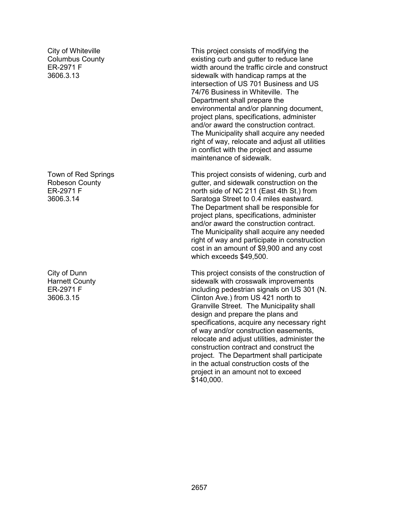City of Whiteville Columbus County ER-2971 F 3606.3.13

Town of Red Springs Robeson County ER-2971 F 3606.3.14

City of Dunn Harnett County ER-2971 F 3606.3.15

This project consists of modifying the existing curb and gutter to reduce lane width around the traffic circle and construct sidewalk with handicap ramps at the intersection of US 701 Business and US 74/76 Business in Whiteville. The Department shall prepare the environmental and/or planning document, project plans, specifications, administer and/or award the construction contract. The Municipality shall acquire any needed right of way, relocate and adjust all utilities in conflict with the project and assume maintenance of sidewalk.

This project consists of widening, curb and gutter, and sidewalk construction on the north side of NC 211 (East 4th St.) from Saratoga Street to 0.4 miles eastward. The Department shall be responsible for project plans, specifications, administer and/or award the construction contract. The Municipality shall acquire any needed right of way and participate in construction cost in an amount of \$9,900 and any cost which exceeds \$49,500.

This project consists of the construction of sidewalk with crosswalk improvements including pedestrian signals on US 301 (N. Clinton Ave.) from US 421 north to Granville Street. The Municipality shall design and prepare the plans and specifications, acquire any necessary right of way and/or construction easements, relocate and adjust utilities, administer the construction contract and construct the project. The Department shall participate in the actual construction costs of the project in an amount not to exceed \$140,000.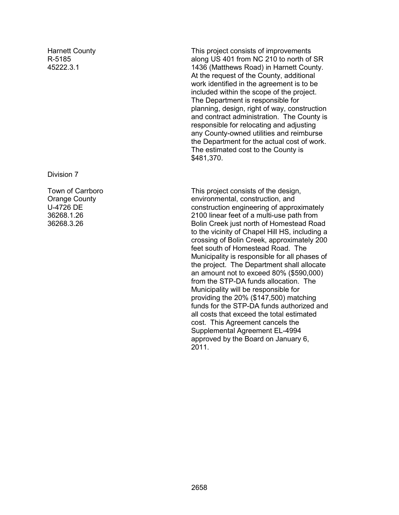Harnett County R-5185 45222.3.1

Division 7

Town of Carrboro Orange County U-4726 DE 36268.1.26 36268.3.26

This project consists of improvements along US 401 from NC 210 to north of SR 1436 (Matthews Road) in Harnett County. At the request of the County, additional work identified in the agreement is to be included within the scope of the project. The Department is responsible for planning, design, right of way, construction and contract administration. The County is responsible for relocating and adjusting any County-owned utilities and reimburse the Department for the actual cost of work. The estimated cost to the County is \$481,370.

This project consists of the design, environmental, construction, and construction engineering of approximately 2100 linear feet of a multi-use path from Bolin Creek just north of Homestead Road to the vicinity of Chapel Hill HS, including a crossing of Bolin Creek, approximately 200 feet south of Homestead Road. The Municipality is responsible for all phases of the project. The Department shall allocate an amount not to exceed 80% (\$590,000) from the STP-DA funds allocation. The Municipality will be responsible for providing the 20% (\$147,500) matching funds for the STP-DA funds authorized and all costs that exceed the total estimated cost. This Agreement cancels the Supplemental Agreement EL-4994 approved by the Board on January 6, 2011.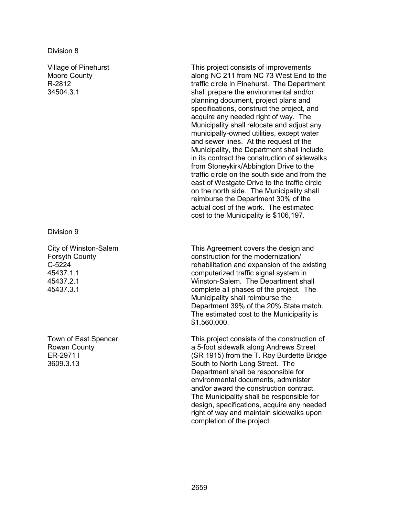#### Division 8

Village of Pinehurst Moore County R-2812 34504.3.1

Division 9

City of Winston-Salem Forsyth County C-5224 45437.1.1 45437.2.1 45437.3.1

Town of East Spencer Rowan County ER-2971 I 3609.3.13

This project consists of improvements along NC 211 from NC 73 West End to the traffic circle in Pinehurst. The Department shall prepare the environmental and/or planning document, project plans and specifications, construct the project, and acquire any needed right of way. The Municipality shall relocate and adjust any municipally-owned utilities, except water and sewer lines. At the request of the Municipality, the Department shall include in its contract the construction of sidewalks from Stoneykirk/Abbington Drive to the traffic circle on the south side and from the east of Westgate Drive to the traffic circle on the north side. The Municipality shall reimburse the Department 30% of the actual cost of the work. The estimated cost to the Municipality is \$106,197.

This Agreement covers the design and construction for the modernization/ rehabilitation and expansion of the existing computerized traffic signal system in Winston-Salem. The Department shall complete all phases of the project. The Municipality shall reimburse the Department 39% of the 20% State match. The estimated cost to the Municipality is \$1,560,000.

This project consists of the construction of a 5-foot sidewalk along Andrews Street (SR 1915) from the T. Roy Burdette Bridge South to North Long Street. The Department shall be responsible for environmental documents, administer and/or award the construction contract. The Municipality shall be responsible for design, specifications, acquire any needed right of way and maintain sidewalks upon completion of the project.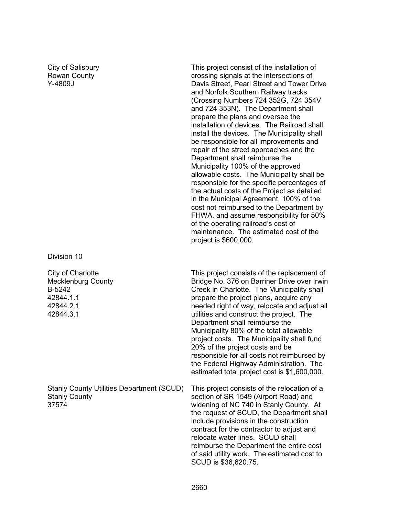City of Salisbury Rowan County Y-4809J

Division 10

City of Charlotte Mecklenburg County B-5242 42844.1.1 42844.2.1 42844.3.1

Stanly County Utilities Department (SCUD) Stanly County 37574

This project consist of the installation of crossing signals at the intersections of Davis Street, Pearl Street and Tower Drive and Norfolk Southern Railway tracks (Crossing Numbers 724 352G, 724 354V and 724 353N). The Department shall prepare the plans and oversee the installation of devices. The Railroad shall install the devices. The Municipality shall be responsible for all improvements and repair of the street approaches and the Department shall reimburse the Municipality 100% of the approved allowable costs. The Municipality shall be responsible for the specific percentages of the actual costs of the Project as detailed in the Municipal Agreement, 100% of the cost not reimbursed to the Department by FHWA, and assume responsibility for 50% of the operating railroad's cost of maintenance. The estimated cost of the project is \$600,000.

This project consists of the replacement of Bridge No. 376 on Barriner Drive over Irwin Creek in Charlotte. The Municipality shall prepare the project plans, acquire any needed right of way, relocate and adjust all utilities and construct the project. The Department shall reimburse the Municipality 80% of the total allowable project costs. The Municipality shall fund 20% of the project costs and be responsible for all costs not reimbursed by the Federal Highway Administration. The estimated total project cost is \$1,600,000.

This project consists of the relocation of a section of SR 1549 (Airport Road) and widening of NC 740 in Stanly County. At the request of SCUD, the Department shall include provisions in the construction contract for the contractor to adjust and relocate water lines. SCUD shall reimburse the Department the entire cost of said utility work. The estimated cost to SCUD is \$36,620.75.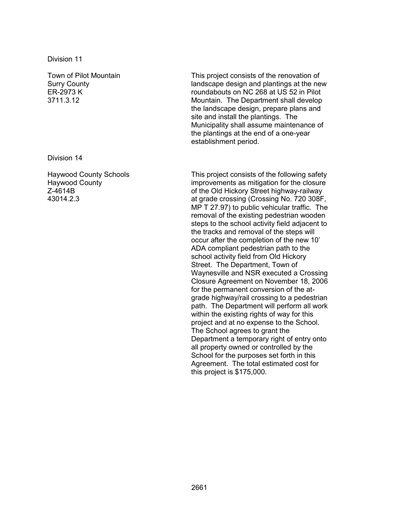Division 11

Town of Pilot Mountain Surry County ER-2973 K 3711.3.12

Division 14

Haywood County Schools Haywood County Z-4614B 43014.2.3

This project consists of the renovation of landscape design and plantings at the new roundabouts on NC 268 at US 52 in Pilot Mountain. The Department shall develop the landscape design, prepare plans and site and install the plantings. The Municipality shall assume maintenance of the plantings at the end of a one-year establishment period.

This project consists of the following safety improvements as mitigation for the closure of the Old Hickory Street highway-railway at grade crossing (Crossing No. 720 308F, MP T 27.97) to public vehicular traffic. The removal of the existing pedestrian wooden steps to the school activity field adjacent to the tracks and removal of the steps will occur after the completion of the new 10' ADA compliant pedestrian path to the school activity field from Old Hickory Street. The Department, Town of Waynesville and NSR executed a Crossing Closure Agreement on November 18, 2006 for the permanent conversion of the atgrade highway/rail crossing to a pedestrian path. The Department will perform all work within the existing rights of way for this project and at no expense to the School. The School agrees to grant the Department a temporary right of entry onto all property owned or controlled by the School for the purposes set forth in this Agreement. The total estimated cost for this project is \$175,000.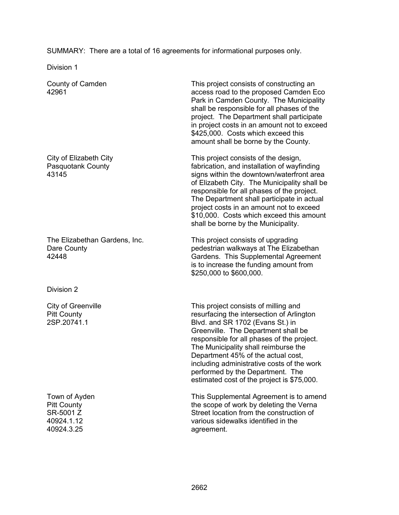SUMMARY: There are a total of 16 agreements for informational purposes only.

Division 1

County of Camden 42961

City of Elizabeth City Pasquotank County 43145

The Elizabethan Gardens, Inc. Dare County 42448

Division 2

City of Greenville Pitt County 2SP.20741.1

Town of Ayden Pitt County SR-5001 Z 40924.1.12 40924.3.25

This project consists of constructing an access road to the proposed Camden Eco Park in Camden County. The Municipality shall be responsible for all phases of the project. The Department shall participate in project costs in an amount not to exceed \$425,000. Costs which exceed this amount shall be borne by the County.

This project consists of the design, fabrication, and installation of wayfinding signs within the downtown/waterfront area of Elizabeth City. The Municipality shall be responsible for all phases of the project. The Department shall participate in actual project costs in an amount not to exceed \$10,000. Costs which exceed this amount shall be borne by the Municipality.

This project consists of upgrading pedestrian walkways at The Elizabethan Gardens. This Supplemental Agreement is to increase the funding amount from \$250,000 to \$600,000.

This project consists of milling and resurfacing the intersection of Arlington Blvd. and SR 1702 (Evans St.) in Greenville. The Department shall be responsible for all phases of the project. The Municipality shall reimburse the Department 45% of the actual cost, including administrative costs of the work performed by the Department. The estimated cost of the project is \$75,000.

This Supplemental Agreement is to amend the scope of work by deleting the Verna Street location from the construction of various sidewalks identified in the agreement.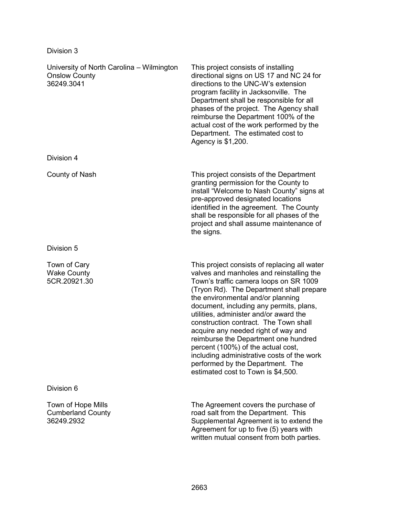| Division 3                                                                      |                                                                                                                                                                                                                                                                                                                                                                                                                                                                                                                                                                                                |
|---------------------------------------------------------------------------------|------------------------------------------------------------------------------------------------------------------------------------------------------------------------------------------------------------------------------------------------------------------------------------------------------------------------------------------------------------------------------------------------------------------------------------------------------------------------------------------------------------------------------------------------------------------------------------------------|
| University of North Carolina – Wilmington<br><b>Onslow County</b><br>36249.3041 | This project consists of installing<br>directional signs on US 17 and NC 24 for<br>directions to the UNC-W's extension<br>program facility in Jacksonville. The<br>Department shall be responsible for all<br>phases of the project. The Agency shall<br>reimburse the Department 100% of the<br>actual cost of the work performed by the<br>Department. The estimated cost to<br>Agency is \$1,200.                                                                                                                                                                                           |
| Division 4                                                                      |                                                                                                                                                                                                                                                                                                                                                                                                                                                                                                                                                                                                |
| County of Nash                                                                  | This project consists of the Department<br>granting permission for the County to<br>install "Welcome to Nash County" signs at<br>pre-approved designated locations<br>identified in the agreement. The County<br>shall be responsible for all phases of the<br>project and shall assume maintenance of<br>the signs.                                                                                                                                                                                                                                                                           |
| Division 5                                                                      |                                                                                                                                                                                                                                                                                                                                                                                                                                                                                                                                                                                                |
| Town of Cary<br><b>Wake County</b><br>5CR.20921.30                              | This project consists of replacing all water<br>valves and manholes and reinstalling the<br>Town's traffic camera loops on SR 1009<br>(Tryon Rd). The Department shall prepare<br>the environmental and/or planning<br>document, including any permits, plans,<br>utilities, administer and/or award the<br>construction contract. The Town shall<br>acquire any needed right of way and<br>reimburse the Department one hundred<br>percent (100%) of the actual cost,<br>including administrative costs of the work<br>performed by the Department. The<br>estimated cost to Town is \$4,500. |
| Division 6                                                                      |                                                                                                                                                                                                                                                                                                                                                                                                                                                                                                                                                                                                |
| Town of Hope Mills<br><b>Cumberland County</b><br>36249.2932                    | The Agreement covers the purchase of<br>road salt from the Department. This<br>Supplemental Agreement is to extend the<br>Agreement for up to five (5) years with<br>written mutual consent from both parties.                                                                                                                                                                                                                                                                                                                                                                                 |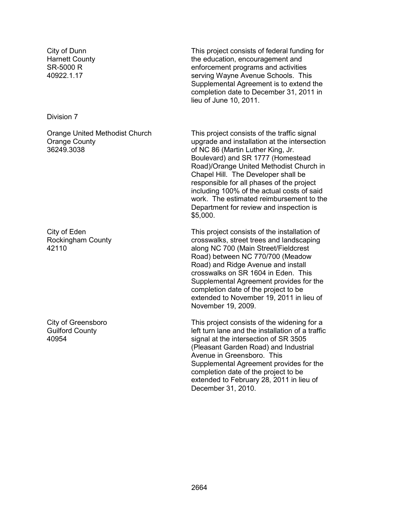City of Dunn Harnett County SR-5000 R 40922.1.17

Division 7

Orange United Methodist Church Orange County 36249.3038

City of Eden Rockingham County 42110

City of Greensboro Guilford County 40954

This project consists of federal funding for the education, encouragement and enforcement programs and activities serving Wayne Avenue Schools. This Supplemental Agreement is to extend the completion date to December 31, 2011 in lieu of June 10, 2011.

This project consists of the traffic signal upgrade and installation at the intersection of NC 86 (Martin Luther King, Jr. Boulevard) and SR 1777 (Homestead Road)/Orange United Methodist Church in Chapel Hill. The Developer shall be responsible for all phases of the project including 100% of the actual costs of said work. The estimated reimbursement to the Department for review and inspection is \$5,000.

This project consists of the installation of crosswalks, street trees and landscaping along NC 700 (Main Street/Fieldcrest Road) between NC 770/700 (Meadow Road) and Ridge Avenue and install crosswalks on SR 1604 in Eden. This Supplemental Agreement provides for the completion date of the project to be extended to November 19, 2011 in lieu of November 19, 2009.

This project consists of the widening for a left turn lane and the installation of a traffic signal at the intersection of SR 3505 (Pleasant Garden Road) and Industrial Avenue in Greensboro. This Supplemental Agreement provides for the completion date of the project to be extended to February 28, 2011 in lieu of December 31, 2010.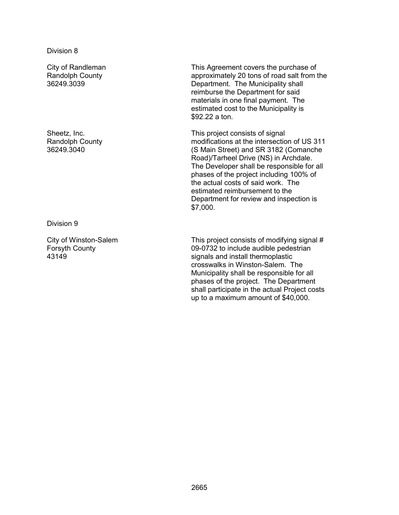City of Randleman Randolph County 36249.3039

Sheetz, Inc. Randolph County 36249.3040

Division 9

City of Winston-Salem Forsyth County 43149

This Agreement covers the purchase of approximately 20 tons of road salt from the Department. The Municipality shall reimburse the Department for said materials in one final payment. The estimated cost to the Municipality is \$92.22 a ton.

This project consists of signal modifications at the intersection of US 311 (S Main Street) and SR 3182 (Comanche Road)/Tarheel Drive (NS) in Archdale. The Developer shall be responsible for all phases of the project including 100% of the actual costs of said work. The estimated reimbursement to the Department for review and inspection is \$7,000.

This project consists of modifying signal # 09-0732 to include audible pedestrian signals and install thermoplastic crosswalks in Winston-Salem. The Municipality shall be responsible for all phases of the project. The Department shall participate in the actual Project costs up to a maximum amount of \$40,000.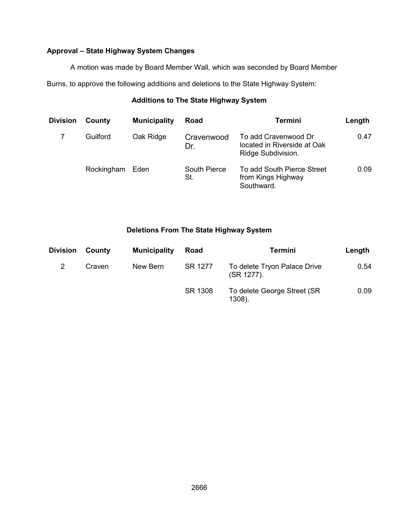## **Approval – State Highway System Changes**

A motion was made by Board Member Wall, which was seconded by Board Member

Burns, to approve the following additions and deletions to the State Highway System:

## **Additions to The State Highway System**

| <b>Division</b> | County     | <b>Municipality</b> | Road                       | <b>Termini</b>                                                            | Length |
|-----------------|------------|---------------------|----------------------------|---------------------------------------------------------------------------|--------|
|                 | Guilford   | Oak Ridge           | Cravenwood<br>Dr.          | To add Cravenwood Dr<br>located in Riverside at Oak<br>Ridge Subdivision. | 0.47   |
|                 | Rockingham | Eden                | <b>South Pierce</b><br>St. | To add South Pierce Street<br>from Kings Highway<br>Southward.            | 0.09   |

## **Deletions From The State Highway System**

| <b>Division</b> | County | <b>Municipality</b> | Road    | <b>Termini</b>                             | Length |
|-----------------|--------|---------------------|---------|--------------------------------------------|--------|
|                 | Craven | New Bern            | SR 1277 | To delete Tryon Palace Drive<br>(SR 1277). | 0.54   |
|                 |        |                     | SR 1308 | To delete George Street (SR<br>1308).      | 0.09   |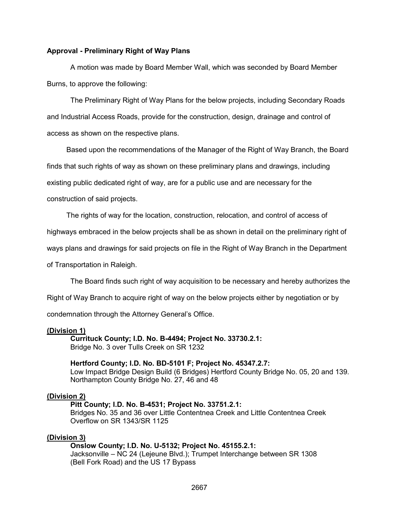#### **Approval - Preliminary Right of Way Plans**

 A motion was made by Board Member Wall, which was seconded by Board Member Burns, to approve the following:

The Preliminary Right of Way Plans for the below projects, including Secondary Roads and Industrial Access Roads, provide for the construction, design, drainage and control of access as shown on the respective plans.

Based upon the recommendations of the Manager of the Right of Way Branch, the Board

finds that such rights of way as shown on these preliminary plans and drawings, including

existing public dedicated right of way, are for a public use and are necessary for the

construction of said projects.

The rights of way for the location, construction, relocation, and control of access of

highways embraced in the below projects shall be as shown in detail on the preliminary right of

ways plans and drawings for said projects on file in the Right of Way Branch in the Department

of Transportation in Raleigh.

The Board finds such right of way acquisition to be necessary and hereby authorizes the

Right of Way Branch to acquire right of way on the below projects either by negotiation or by

condemnation through the Attorney General's Office.

#### **(Division 1)**

 **Currituck County; I.D. No. B-4494; Project No. 33730.2.1:**  Bridge No. 3 over Tulls Creek on SR 1232

**Hertford County; I.D. No. BD-5101 F; Project No. 45347.2.7:**  Low Impact Bridge Design Build (6 Bridges) Hertford County Bridge No. 05, 20 and 139. Northampton County Bridge No. 27, 46 and 48

#### **(Division 2)**

#### **Pitt County; I.D. No. B-4531; Project No. 33751.2.1:**

Bridges No. 35 and 36 over Little Contentnea Creek and Little Contentnea Creek Overflow on SR 1343/SR 1125

#### **(Division 3)**

#### **Onslow County; I.D. No. U-5132; Project No. 45155.2.1:**

Jacksonville – NC 24 (Lejeune Blvd.); Trumpet Interchange between SR 1308 (Bell Fork Road) and the US 17 Bypass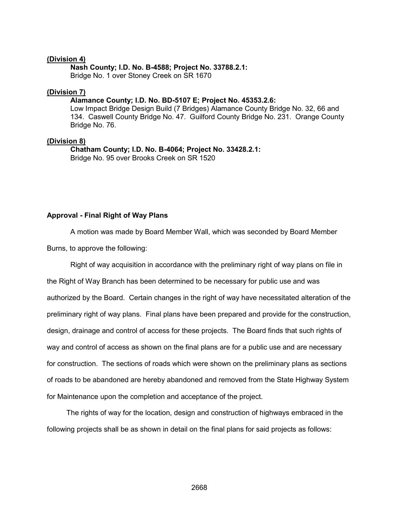#### **(Division 4)**

#### **Nash County; I.D. No. B-4588; Project No. 33788.2.1:**

Bridge No. 1 over Stoney Creek on SR 1670

#### **(Division 7)**

#### **Alamance County; I.D. No. BD-5107 E; Project No. 45353.2.6:**

Low Impact Bridge Design Build (7 Bridges) Alamance County Bridge No. 32, 66 and 134. Caswell County Bridge No. 47. Guilford County Bridge No. 231. Orange County Bridge No. 76.

#### **(Division 8)**

 **Chatham County; I.D. No. B-4064; Project No. 33428.2.1:**  Bridge No. 95 over Brooks Creek on SR 1520

#### **Approval - Final Right of Way Plans**

A motion was made by Board Member Wall, which was seconded by Board Member

Burns, to approve the following:

Right of way acquisition in accordance with the preliminary right of way plans on file in the Right of Way Branch has been determined to be necessary for public use and was authorized by the Board. Certain changes in the right of way have necessitated alteration of the preliminary right of way plans. Final plans have been prepared and provide for the construction, design, drainage and control of access for these projects. The Board finds that such rights of way and control of access as shown on the final plans are for a public use and are necessary for construction. The sections of roads which were shown on the preliminary plans as sections of roads to be abandoned are hereby abandoned and removed from the State Highway System for Maintenance upon the completion and acceptance of the project.

 The rights of way for the location, design and construction of highways embraced in the following projects shall be as shown in detail on the final plans for said projects as follows: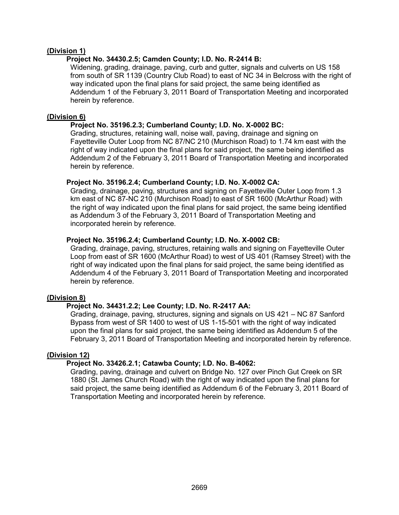#### **(Division 1)**

#### **Project No. 34430.2.5; Camden County; I.D. No. R-2414 B:**

Widening, grading, drainage, paving, curb and gutter, signals and culverts on US 158 from south of SR 1139 (Country Club Road) to east of NC 34 in Belcross with the right of way indicated upon the final plans for said project, the same being identified as Addendum 1 of the February 3, 2011 Board of Transportation Meeting and incorporated herein by reference.

#### **(Division 6)**

## **Project No. 35196.2.3; Cumberland County; I.D. No. X-0002 BC:**

Grading, structures, retaining wall, noise wall, paving, drainage and signing on Fayetteville Outer Loop from NC 87/NC 210 (Murchison Road) to 1.74 km east with the right of way indicated upon the final plans for said project, the same being identified as Addendum 2 of the February 3, 2011 Board of Transportation Meeting and incorporated herein by reference.

## **Project No. 35196.2.4; Cumberland County; I.D. No. X-0002 CA:**

Grading, drainage, paving, structures and signing on Fayetteville Outer Loop from 1.3 km east of NC 87-NC 210 (Murchison Road) to east of SR 1600 (McArthur Road) with the right of way indicated upon the final plans for said project, the same being identified as Addendum 3 of the February 3, 2011 Board of Transportation Meeting and incorporated herein by reference.

## **Project No. 35196.2.4; Cumberland County; I.D. No. X-0002 CB:**

Grading, drainage, paving, structures, retaining walls and signing on Fayetteville Outer Loop from east of SR 1600 (McArthur Road) to west of US 401 (Ramsey Street) with the right of way indicated upon the final plans for said project, the same being identified as Addendum 4 of the February 3, 2011 Board of Transportation Meeting and incorporated herein by reference.

#### **(Division 8)**

## **Project No. 34431.2.2; Lee County; I.D. No. R-2417 AA:**

Grading, drainage, paving, structures, signing and signals on US 421 – NC 87 Sanford Bypass from west of SR 1400 to west of US 1-15-501 with the right of way indicated upon the final plans for said project, the same being identified as Addendum 5 of the February 3, 2011 Board of Transportation Meeting and incorporated herein by reference.

## **(Division 12)**

## **Project No. 33426.2.1; Catawba County; I.D. No. B-4062:**

Grading, paving, drainage and culvert on Bridge No. 127 over Pinch Gut Creek on SR 1880 (St. James Church Road) with the right of way indicated upon the final plans for said project, the same being identified as Addendum 6 of the February 3, 2011 Board of Transportation Meeting and incorporated herein by reference.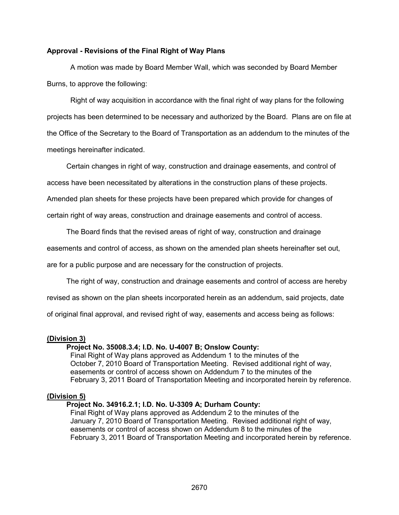#### **Approval - Revisions of the Final Right of Way Plans**

A motion was made by Board Member Wall, which was seconded by Board Member Burns, to approve the following:

Right of way acquisition in accordance with the final right of way plans for the following projects has been determined to be necessary and authorized by the Board. Plans are on file at the Office of the Secretary to the Board of Transportation as an addendum to the minutes of the meetings hereinafter indicated.

Certain changes in right of way, construction and drainage easements, and control of

access have been necessitated by alterations in the construction plans of these projects.

Amended plan sheets for these projects have been prepared which provide for changes of

certain right of way areas, construction and drainage easements and control of access.

The Board finds that the revised areas of right of way, construction and drainage

easements and control of access, as shown on the amended plan sheets hereinafter set out,

are for a public purpose and are necessary for the construction of projects.

The right of way, construction and drainage easements and control of access are hereby

revised as shown on the plan sheets incorporated herein as an addendum, said projects, date

of original final approval, and revised right of way, easements and access being as follows:

#### **(Division 3)**

#### **Project No. 35008.3.4; I.D. No. U-4007 B; Onslow County:**

Final Right of Way plans approved as Addendum 1 to the minutes of the October 7, 2010 Board of Transportation Meeting. Revised additional right of way, easements or control of access shown on Addendum 7 to the minutes of the February 3, 2011 Board of Transportation Meeting and incorporated herein by reference.

#### **(Division 5)**

#### **Project No. 34916.2.1; I.D. No. U-3309 A; Durham County:**

Final Right of Way plans approved as Addendum 2 to the minutes of the January 7, 2010 Board of Transportation Meeting. Revised additional right of way, easements or control of access shown on Addendum 8 to the minutes of the February 3, 2011 Board of Transportation Meeting and incorporated herein by reference.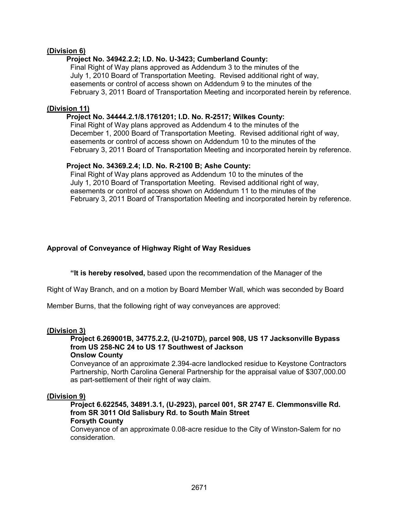#### **(Division 6)**

#### **Project No. 34942.2.2; I.D. No. U-3423; Cumberland County:**

Final Right of Way plans approved as Addendum 3 to the minutes of the July 1, 2010 Board of Transportation Meeting. Revised additional right of way, easements or control of access shown on Addendum 9 to the minutes of the February 3, 2011 Board of Transportation Meeting and incorporated herein by reference.

#### **(Division 11)**

#### **Project No. 34444.2.1/8.1761201; I.D. No. R-2517; Wilkes County:**

Final Right of Way plans approved as Addendum 4 to the minutes of the December 1, 2000 Board of Transportation Meeting. Revised additional right of wav. easements or control of access shown on Addendum 10 to the minutes of the February 3, 2011 Board of Transportation Meeting and incorporated herein by reference.

#### **Project No. 34369.2.4; I.D. No. R-2100 B; Ashe County:**

Final Right of Way plans approved as Addendum 10 to the minutes of the July 1, 2010 Board of Transportation Meeting. Revised additional right of way, easements or control of access shown on Addendum 11 to the minutes of the February 3, 2011 Board of Transportation Meeting and incorporated herein by reference.

#### **Approval of Conveyance of Highway Right of Way Residues**

 **"It is hereby resolved,** based upon the recommendation of the Manager of the

Right of Way Branch, and on a motion by Board Member Wall, which was seconded by Board

Member Burns, that the following right of way conveyances are approved:

#### **(Division 3)**

## **Project 6.269001B, 34775.2.2, (U-2107D), parcel 908, US 17 Jacksonville Bypass from US 258-NC 24 to US 17 Southwest of Jackson**

#### **Onslow County**

Conveyance of an approximate 2.394-acre landlocked residue to Keystone Contractors Partnership, North Carolina General Partnership for the appraisal value of \$307,000.00 as part-settlement of their right of way claim.

#### **(Division 9)**

**Project 6.622545, 34891.3.1, (U-2923), parcel 001, SR 2747 E. Clemmonsville Rd. from SR 3011 Old Salisbury Rd. to South Main Street Forsyth County** 

Conveyance of an approximate 0.08-acre residue to the City of Winston-Salem for no consideration.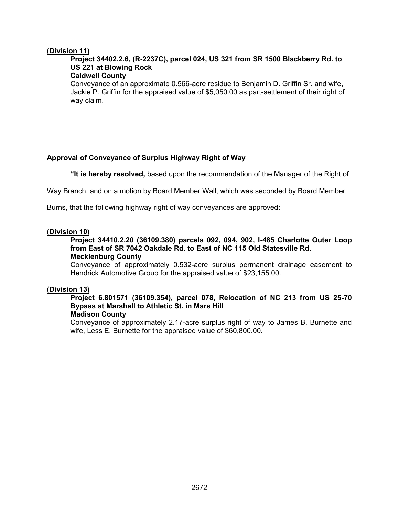#### **(Division 11)**

## **Project 34402.2.6, (R-2237C), parcel 024, US 321 from SR 1500 Blackberry Rd. to US 221 at Blowing Rock**

## **Caldwell County**

Conveyance of an approximate 0.566-acre residue to Benjamin D. Griffin Sr. and wife, Jackie P. Griffin for the appraised value of \$5,050.00 as part-settlement of their right of way claim.

## **Approval of Conveyance of Surplus Highway Right of Way**

 **"It is hereby resolved,** based upon the recommendation of the Manager of the Right of

Way Branch, and on a motion by Board Member Wall, which was seconded by Board Member

Burns, that the following highway right of way conveyances are approved:

#### **(Division 10)**

#### **Project 34410.2.20 (36109.380) parcels 092, 094, 902, I-485 Charlotte Outer Loop from East of SR 7042 Oakdale Rd. to East of NC 115 Old Statesville Rd. Mecklenburg County**

Conveyance of approximately 0.532-acre surplus permanent drainage easement to Hendrick Automotive Group for the appraised value of \$23,155.00.

#### **(Division 13)**

## **Project 6.801571 (36109.354), parcel 078, Relocation of NC 213 from US 25-70 Bypass at Marshall to Athletic St. in Mars Hill**

### **Madison County**

Conveyance of approximately 2.17-acre surplus right of way to James B. Burnette and wife, Less E. Burnette for the appraised value of \$60,800.00.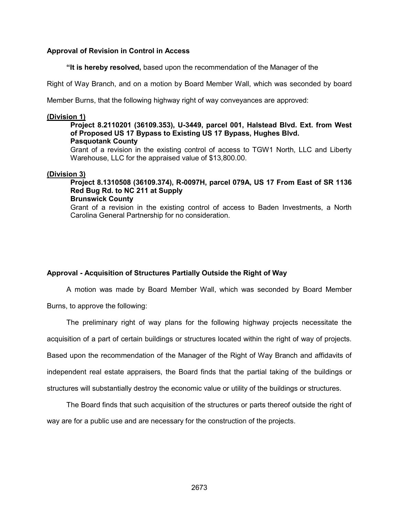#### **Approval of Revision in Control in Access**

 **"It is hereby resolved,** based upon the recommendation of the Manager of the

Right of Way Branch, and on a motion by Board Member Wall, which was seconded by board

Member Burns, that the following highway right of way conveyances are approved:

#### **(Division 1)**

#### **Project 8.2110201 (36109.353), U-3449, parcel 001, Halstead Blvd. Ext. from West of Proposed US 17 Bypass to Existing US 17 Bypass, Hughes Blvd. Pasquotank County**

Grant of a revision in the existing control of access to TGW1 North, LLC and Liberty Warehouse, LLC for the appraised value of \$13,800.00.

#### **(Division 3)**

## **Project 8.1310508 (36109.374), R-0097H, parcel 079A, US 17 From East of SR 1136 Red Bug Rd. to NC 211 at Supply**

#### **Brunswick County**

Grant of a revision in the existing control of access to Baden Investments, a North Carolina General Partnership for no consideration.

#### **Approval - Acquisition of Structures Partially Outside the Right of Way**

A motion was made by Board Member Wall, which was seconded by Board Member

Burns, to approve the following:

The preliminary right of way plans for the following highway projects necessitate the acquisition of a part of certain buildings or structures located within the right of way of projects. Based upon the recommendation of the Manager of the Right of Way Branch and affidavits of independent real estate appraisers, the Board finds that the partial taking of the buildings or structures will substantially destroy the economic value or utility of the buildings or structures.

 The Board finds that such acquisition of the structures or parts thereof outside the right of way are for a public use and are necessary for the construction of the projects.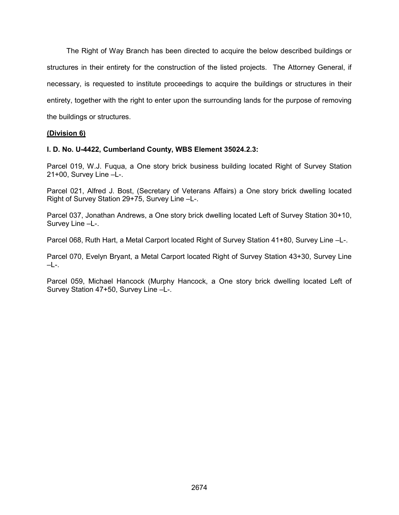The Right of Way Branch has been directed to acquire the below described buildings or structures in their entirety for the construction of the listed projects. The Attorney General, if necessary, is requested to institute proceedings to acquire the buildings or structures in their entirety, together with the right to enter upon the surrounding lands for the purpose of removing the buildings or structures.

#### **(Division 6)**

#### **I. D. No. U-4422, Cumberland County, WBS Element 35024.2.3:**

Parcel 019, W.J. Fuqua, a One story brick business building located Right of Survey Station 21+00, Survey Line –L-.

Parcel 021, Alfred J. Bost, (Secretary of Veterans Affairs) a One story brick dwelling located Right of Survey Station 29+75, Survey Line –L-.

Parcel 037, Jonathan Andrews, a One story brick dwelling located Left of Survey Station 30+10, Survey Line –L-.

Parcel 068, Ruth Hart, a Metal Carport located Right of Survey Station 41+80, Survey Line –L-.

Parcel 070, Evelyn Bryant, a Metal Carport located Right of Survey Station 43+30, Survey Line –L-.

Parcel 059, Michael Hancock (Murphy Hancock, a One story brick dwelling located Left of Survey Station 47+50, Survey Line –L-.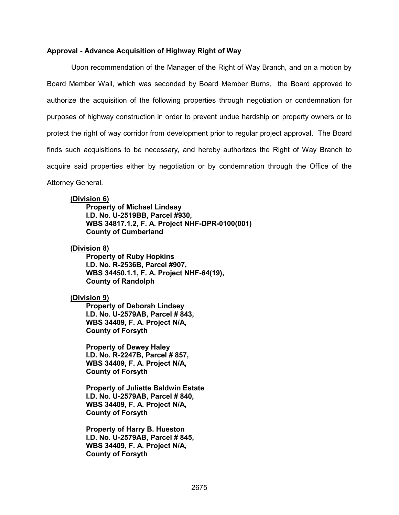#### **Approval - Advance Acquisition of Highway Right of Way**

 Upon recommendation of the Manager of the Right of Way Branch, and on a motion by Board Member Wall, which was seconded by Board Member Burns, the Board approved to authorize the acquisition of the following properties through negotiation or condemnation for purposes of highway construction in order to prevent undue hardship on property owners or to protect the right of way corridor from development prior to regular project approval. The Board finds such acquisitions to be necessary, and hereby authorizes the Right of Way Branch to acquire said properties either by negotiation or by condemnation through the Office of the Attorney General.

#### **(Division 6)**

 **Property of Michael Lindsay I.D. No. U-2519BB, Parcel #930, WBS 34817.1.2, F. A. Project NHF-DPR-0100(001) County of Cumberland** 

**(Division 8)** 

 **Property of Ruby Hopkins I.D. No. R-2536B, Parcel #907, WBS 34450.1.1, F. A. Project NHF-64(19), County of Randolph** 

#### **(Division 9)**

 **Property of Deborah Lindsey I.D. No. U-2579AB, Parcel # 843, WBS 34409, F. A. Project N/A, County of Forsyth** 

 **Property of Dewey Haley I.D. No. R-2247B, Parcel # 857, WBS 34409, F. A. Project N/A, County of Forsyth** 

 **Property of Juliette Baldwin Estate I.D. No. U-2579AB, Parcel # 840, WBS 34409, F. A. Project N/A, County of Forsyth** 

 **Property of Harry B. Hueston I.D. No. U-2579AB, Parcel # 845, WBS 34409, F. A. Project N/A, County of Forsyth**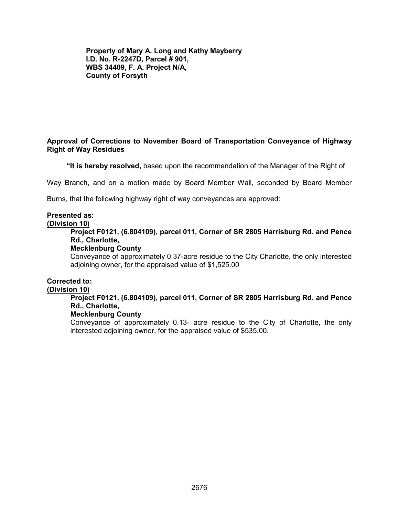**Property of Mary A. Long and Kathy Mayberry I.D. No. R-2247D, Parcel # 901, WBS 34409, F. A. Project N/A, County of Forsyth** 

#### **Approval of Corrections to November Board of Transportation Conveyance of Highway Right of Way Residues**

 **"It is hereby resolved,** based upon the recommendation of the Manager of the Right of

Way Branch, and on a motion made by Board Member Wall, seconded by Board Member

Burns, that the following highway right of way conveyances are approved:

## **Presented as:**

#### **(Division 10)**

**Project F0121, (6.804109), parcel 011, Corner of SR 2805 Harrisburg Rd. and Pence Rd., Charlotte,** 

#### **Mecklenburg County**

Conveyance of approximately 0.37-acre residue to the City Charlotte, the only interested adjoining owner, for the appraised value of \$1,525.00

#### **Corrected to:**

#### **(Division 10)**

#### **Project F0121, (6.804109), parcel 011, Corner of SR 2805 Harrisburg Rd. and Pence Rd., Charlotte,**

#### **Mecklenburg County**

Conveyance of approximately 0.13- acre residue to the City of Charlotte, the only interested adjoining owner, for the appraised value of \$535.00.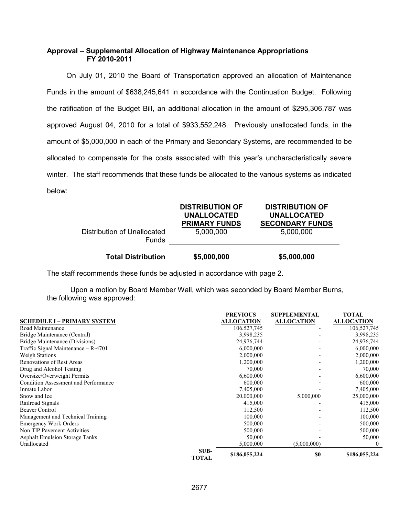#### **Approval – Supplemental Allocation of Highway Maintenance Appropriations FY 2010-2011**

 On July 01, 2010 the Board of Transportation approved an allocation of Maintenance Funds in the amount of \$638,245,641 in accordance with the Continuation Budget. Following the ratification of the Budget Bill, an additional allocation in the amount of \$295,306,787 was approved August 04, 2010 for a total of \$933,552,248. Previously unallocated funds, in the amount of \$5,000,000 in each of the Primary and Secondary Systems, are recommended to be allocated to compensate for the costs associated with this year's uncharacteristically severe winter. The staff recommends that these funds be allocated to the various systems as indicated below:

| <b>Total Distribution</b>                   | \$5,000,000                                                                       | \$5,000,000                                                                         |
|---------------------------------------------|-----------------------------------------------------------------------------------|-------------------------------------------------------------------------------------|
| Distribution of Unallocated<br><b>Funds</b> | <b>DISTRIBUTION OF</b><br><b>UNALLOCATED</b><br><b>PRIMARY FUNDS</b><br>5,000,000 | <b>DISTRIBUTION OF</b><br><b>UNALLOCATED</b><br><b>SECONDARY FUNDS</b><br>5,000,000 |

The staff recommends these funds be adjusted in accordance with page 2.

Upon a motion by Board Member Wall, which was seconded by Board Member Burns, the following was approved:

|                                       | <b>PREVIOUS</b>                       | <b>SUPPLEMENTAL</b> | <b>TOTAL</b>      |
|---------------------------------------|---------------------------------------|---------------------|-------------------|
| <b>SCHEDULE I - PRIMARY SYSTEM</b>    | <b>ALLOCATION</b>                     | <b>ALLOCATION</b>   | <b>ALLOCATION</b> |
| Road Maintenance                      | 106,527,745                           |                     | 106,527,745       |
| Bridge Maintenance (Central)          | 3,998,235                             |                     | 3,998,235         |
| Bridge Maintenance (Divisions)        | 24,976,744                            |                     | 24,976,744        |
| Traffic Signal Maintenance $-$ R-4701 | 6,000,000                             |                     | 6,000,000         |
| <b>Weigh Stations</b>                 | 2,000,000                             |                     | 2,000,000         |
| <b>Renovations of Rest Areas</b>      | 1,200,000                             |                     | 1,200,000         |
| Drug and Alcohol Testing              |                                       | 70,000              | 70,000            |
| Oversize/Overweight Permits           | 6,600,000                             |                     | 6,600,000         |
| Condition Assessment and Performance  | 600,000                               |                     | 600,000           |
| Inmate Labor                          | 7,405,000                             |                     | 7,405,000         |
| Snow and Ice                          | 20,000,000                            | 5,000,000           | 25,000,000        |
| Railroad Signals                      | 415,000                               |                     | 415,000           |
| <b>Beaver Control</b>                 | 112,500                               |                     | 112,500           |
| Management and Technical Training     | 100,000                               |                     | 100,000           |
| <b>Emergency Work Orders</b>          | 500,000                               |                     | 500,000           |
| Non TIP Pavement Activities           | 500,000                               |                     | 500,000           |
| <b>Asphalt Emulsion Storage Tanks</b> |                                       | 50,000              | 50,000            |
| Unallocated                           | 5,000,000                             | (5,000,000)         | 0                 |
|                                       | SUB-<br>\$186,055,224<br><b>TOTAL</b> | \$0                 | \$186,055,224     |